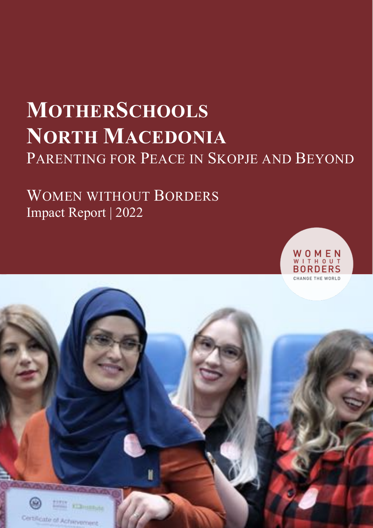# **MOTHERSCHOOLS NORTH MACEDONIA** PARENTING FOR PEACE IN SKOPJE AND BEYOND

# WOMEN WITHOUT BORDERS Impact Report | 2022



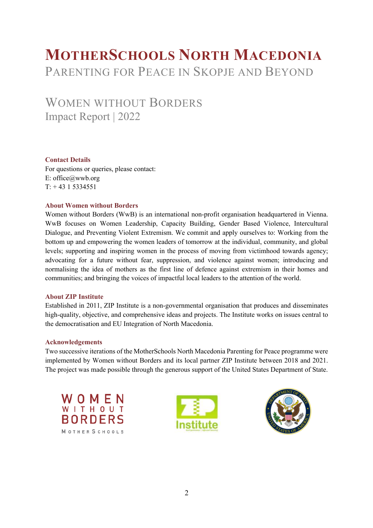# **MOTHERSCHOOLS NORTH MACEDONIA** PARENTING FOR PEACE IN SKOPJE AND BEYOND

# WOMEN WITHOUT BORDERS Impact Report | 2022

#### **Contact Details**

For questions or queries, please contact: E: office@wwb.org  $T: +4315334551$ 

#### **About Women without Borders**

Women without Borders (WwB) is an international non-profit organisation headquartered in Vienna. WwB focuses on Women Leadership, Capacity Building, Gender Based Violence, Intercultural Dialogue, and Preventing Violent Extremism. We commit and apply ourselves to: Working from the bottom up and empowering the women leaders of tomorrow at the individual, community, and global levels; supporting and inspiring women in the process of moving from victimhood towards agency; advocating for a future without fear, suppression, and violence against women; introducing and normalising the idea of mothers as the first line of defence against extremism in their homes and communities; and bringing the voices of impactful local leaders to the attention of the world.

#### **About ZIP Institute**

Established in 2011, ZIP Institute is a non-governmental organisation that produces and disseminates high-quality, objective, and comprehensive ideas and projects. The Institute works on issues central to the democratisation and EU Integration of North Macedonia.

#### **Acknowledgements**

Two successive iterations of the MotherSchools North Macedonia Parenting for Peace programme were implemented by Women without Borders and its local partner ZIP Institute between 2018 and 2021. The project was made possible through the generous support of the United States Department of State.





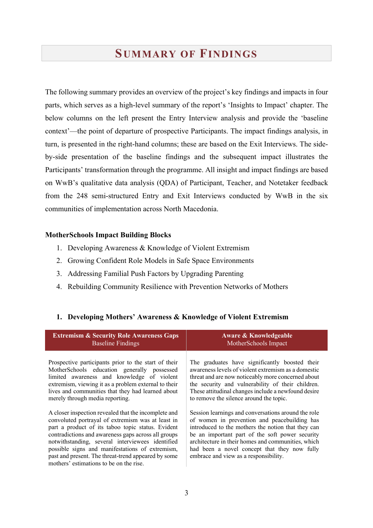### **SUMMARY OF FINDINGS**

The following summary provides an overview of the project's key findings and impacts in four parts, which serves as a high-level summary of the report's 'Insights to Impact' chapter. The below columns on the left present the Entry Interview analysis and provide the 'baseline context'—the point of departure of prospective Participants. The impact findings analysis, in turn, is presented in the right-hand columns; these are based on the Exit Interviews. The sideby-side presentation of the baseline findings and the subsequent impact illustrates the Participants' transformation through the programme. All insight and impact findings are based on WwB's qualitative data analysis (QDA) of Participant, Teacher, and Notetaker feedback from the 248 semi-structured Entry and Exit Interviews conducted by WwB in the six communities of implementation across North Macedonia.

#### **MotherSchools Impact Building Blocks**

- 1. Developing Awareness & Knowledge of Violent Extremism
- 2. Growing Confident Role Models in Safe Space Environments
- 3. Addressing Familial Push Factors by Upgrading Parenting
- 4. Rebuilding Community Resilience with Prevention Networks of Mothers

| <b>Extremism &amp; Security Role Awareness Gaps</b>                                                                                                                                                                                                                                                                                                                                                                            | Aware & Knowledgeable                                                                                                                                                                                                                                                                                                                                       |
|--------------------------------------------------------------------------------------------------------------------------------------------------------------------------------------------------------------------------------------------------------------------------------------------------------------------------------------------------------------------------------------------------------------------------------|-------------------------------------------------------------------------------------------------------------------------------------------------------------------------------------------------------------------------------------------------------------------------------------------------------------------------------------------------------------|
| <b>Baseline Findings</b>                                                                                                                                                                                                                                                                                                                                                                                                       | MotherSchools Impact                                                                                                                                                                                                                                                                                                                                        |
| Prospective participants prior to the start of their                                                                                                                                                                                                                                                                                                                                                                           | The graduates have significantly boosted their                                                                                                                                                                                                                                                                                                              |
| MotherSchools education generally possessed                                                                                                                                                                                                                                                                                                                                                                                    | awareness levels of violent extremism as a domestic                                                                                                                                                                                                                                                                                                         |
| limited awareness and knowledge of violent                                                                                                                                                                                                                                                                                                                                                                                     | threat and are now noticeably more concerned about                                                                                                                                                                                                                                                                                                          |
| extremism, viewing it as a problem external to their                                                                                                                                                                                                                                                                                                                                                                           | the security and vulnerability of their children.                                                                                                                                                                                                                                                                                                           |
| lives and communities that they had learned about                                                                                                                                                                                                                                                                                                                                                                              | These attitudinal changes include a newfound desire                                                                                                                                                                                                                                                                                                         |
| merely through media reporting.                                                                                                                                                                                                                                                                                                                                                                                                | to remove the silence around the topic.                                                                                                                                                                                                                                                                                                                     |
| A closer inspection revealed that the incomplete and<br>convoluted portrayal of extremism was at least in<br>part a product of its taboo topic status. Evident<br>contradictions and awareness gaps across all groups<br>notwithstanding, several interviewees identified<br>possible signs and manifestations of extremism,<br>past and present. The threat-trend appeared by some<br>mothers' estimations to be on the rise. | Session learnings and conversations around the role<br>of women in prevention and peacebuilding has<br>introduced to the mothers the notion that they can<br>be an important part of the soft power security<br>architecture in their homes and communities, which<br>had been a novel concept that they now fully<br>embrace and view as a responsibility. |

#### **1. Developing Mothers' Awareness & Knowledge of Violent Extremism**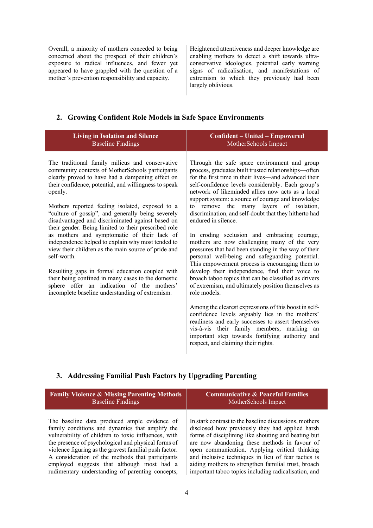Overall, a minority of mothers conceded to being concerned about the prospect of their children's exposure to radical influences, and fewer yet appeared to have grappled with the question of a mother's prevention responsibility and capacity.

Heightened attentiveness and deeper knowledge are enabling mothers to detect a shift towards ultraconservative ideologies, potential early warning signs of radicalisation, and manifestations of extremism to which they previously had been largely oblivious.

#### **2. Growing Confident Role Models in Safe Space Environments**

| <b>Living in Isolation and Silence</b><br><b>Baseline Findings</b>                                                                                                                                                                                                                                                                                                                                                                                                                                                                                                                                                                                                                                                                                                                                                                  | <b>Confident - United - Empowered</b><br>MotherSchools Impact                                                                                                                                                                                                                                                                                                                                                                                                                                                                                                                                                                                                                                                                                                                                                                                                                                                                                                                                                                                                                                                                                                                                                   |
|-------------------------------------------------------------------------------------------------------------------------------------------------------------------------------------------------------------------------------------------------------------------------------------------------------------------------------------------------------------------------------------------------------------------------------------------------------------------------------------------------------------------------------------------------------------------------------------------------------------------------------------------------------------------------------------------------------------------------------------------------------------------------------------------------------------------------------------|-----------------------------------------------------------------------------------------------------------------------------------------------------------------------------------------------------------------------------------------------------------------------------------------------------------------------------------------------------------------------------------------------------------------------------------------------------------------------------------------------------------------------------------------------------------------------------------------------------------------------------------------------------------------------------------------------------------------------------------------------------------------------------------------------------------------------------------------------------------------------------------------------------------------------------------------------------------------------------------------------------------------------------------------------------------------------------------------------------------------------------------------------------------------------------------------------------------------|
| The traditional family milieus and conservative<br>community contexts of MotherSchools participants<br>clearly proved to have had a dampening effect on<br>their confidence, potential, and willingness to speak<br>openly.<br>Mothers reported feeling isolated, exposed to a<br>"culture of gossip", and generally being severely<br>disadvantaged and discriminated against based on<br>their gender. Being limited to their prescribed role<br>as mothers and symptomatic of their lack of<br>independence helped to explain why most tended to<br>view their children as the main source of pride and<br>self-worth.<br>Resulting gaps in formal education coupled with<br>their being confined in many cases to the domestic<br>sphere offer an indication of the mothers'<br>incomplete baseline understanding of extremism. | Through the safe space environment and group<br>process, graduates built trusted relationships-often<br>for the first time in their lives—and advanced their<br>self-confidence levels considerably. Each group's<br>network of likeminded allies now acts as a local<br>support system: a source of courage and knowledge<br>to remove the many layers of isolation,<br>discrimination, and self-doubt that they hitherto had<br>endured in silence.<br>In eroding seclusion and embracing courage,<br>mothers are now challenging many of the very<br>pressures that had been standing in the way of their<br>personal well-being and safeguarding potential.<br>This empowerment process is encouraging them to<br>develop their independence, find their voice to<br>broach taboo topics that can be classified as drivers<br>of extremism, and ultimately position themselves as<br>role models.<br>Among the clearest expressions of this boost in self-<br>confidence levels arguably lies in the mothers'<br>readiness and early successes to assert themselves<br>vis-à-vis their family members, marking an<br>important step towards fortifying authority and<br>respect, and claiming their rights. |
|                                                                                                                                                                                                                                                                                                                                                                                                                                                                                                                                                                                                                                                                                                                                                                                                                                     |                                                                                                                                                                                                                                                                                                                                                                                                                                                                                                                                                                                                                                                                                                                                                                                                                                                                                                                                                                                                                                                                                                                                                                                                                 |

#### **3. Addressing Familial Push Factors by Upgrading Parenting**

| <b>Family Violence &amp; Missing Parenting Methods</b> | <b>Communicative &amp; Peaceful Families</b>           |
|--------------------------------------------------------|--------------------------------------------------------|
| <b>Baseline Findings</b>                               | MotherSchools Impact                                   |
| The baseline data produced ample evidence of           | In stark contrast to the baseline discussions, mothers |
| family conditions and dynamics that amplify the        | disclosed how previously they had applied harsh        |
| vulnerability of children to toxic influences, with    | forms of disciplining like shouting and beating but    |
| the presence of psychological and physical forms of    | are now abandoning these methods in favour of          |
| violence figuring as the gravest familial push factor. | open communication. Applying critical thinking         |
| A consideration of the methods that participants       | and inclusive techniques in lieu of fear tactics is    |
| employed suggests that although most had a             | aiding mothers to strengthen familial trust, broach    |
| rudimentary understanding of parenting concepts,       | important taboo topics including radicalisation, and   |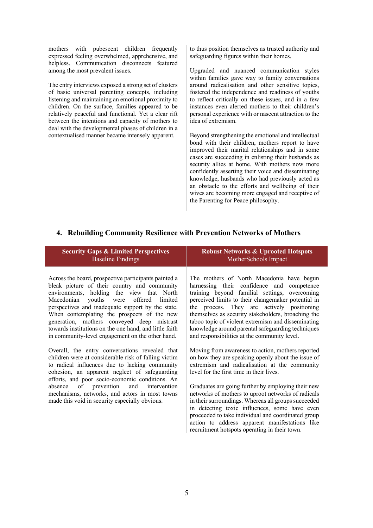mothers with pubescent children frequently expressed feeling overwhelmed, apprehensive, and helpless. Communication disconnects featured among the most prevalent issues.

The entry interviews exposed a strong set of clusters of basic universal parenting concepts, including listening and maintaining an emotional proximity to children. On the surface, families appeared to be relatively peaceful and functional. Yet a clear rift between the intentions and capacity of mothers to deal with the developmental phases of children in a contextualised manner became intensely apparent.

to thus position themselves as trusted authority and safeguarding figures within their homes.

Upgraded and nuanced communication styles within families gave way to family conversations around radicalisation and other sensitive topics, fostered the independence and readiness of youths to reflect critically on these issues, and in a few instances even alerted mothers to their children's personal experience with or nascent attraction to the idea of extremism.

Beyond strengthening the emotional and intellectual bond with their children, mothers report to have improved their marital relationships and in some cases are succeeding in enlisting their husbands as security allies at home. With mothers now more confidently asserting their voice and disseminating knowledge, husbands who had previously acted as an obstacle to the efforts and wellbeing of their wives are becoming more engaged and receptive of the Parenting for Peace philosophy.

#### **4. Rebuilding Community Resilience with Prevention Networks of Mothers**

| <b>Security Gaps &amp; Limited Perspectives</b>                                                                                                                                                  | <b>Robust Networks &amp; Uprooted Hotspots</b>                                                                                                                                                                                                                                                                                                                            |
|--------------------------------------------------------------------------------------------------------------------------------------------------------------------------------------------------|---------------------------------------------------------------------------------------------------------------------------------------------------------------------------------------------------------------------------------------------------------------------------------------------------------------------------------------------------------------------------|
| <b>Baseline Findings</b>                                                                                                                                                                         | MotherSchools Impact                                                                                                                                                                                                                                                                                                                                                      |
| Across the board, prospective participants painted a                                                                                                                                             | The mothers of North Macedonia have begun                                                                                                                                                                                                                                                                                                                                 |
| bleak picture of their country and community                                                                                                                                                     | harnessing their confidence and competence                                                                                                                                                                                                                                                                                                                                |
| environments, holding the view that North                                                                                                                                                        | training beyond familial settings, overcoming                                                                                                                                                                                                                                                                                                                             |
| Macedonian youths were offered limited                                                                                                                                                           | perceived limits to their changemaker potential in                                                                                                                                                                                                                                                                                                                        |
| perspectives and inadequate support by the state.                                                                                                                                                | the process. They are actively positioning                                                                                                                                                                                                                                                                                                                                |
| When contemplating the prospects of the new                                                                                                                                                      | themselves as security stakeholders, broaching the                                                                                                                                                                                                                                                                                                                        |
| generation, mothers conveyed deep mistrust                                                                                                                                                       | taboo topic of violent extremism and disseminating                                                                                                                                                                                                                                                                                                                        |
| towards institutions on the one hand, and little faith                                                                                                                                           | knowledge around parental safeguarding techniques                                                                                                                                                                                                                                                                                                                         |
| in community-level engagement on the other hand.                                                                                                                                                 | and responsibilities at the community level.                                                                                                                                                                                                                                                                                                                              |
| Overall, the entry conversations revealed that                                                                                                                                                   | Moving from awareness to action, mothers reported                                                                                                                                                                                                                                                                                                                         |
| children were at considerable risk of falling victim                                                                                                                                             | on how they are speaking openly about the issue of                                                                                                                                                                                                                                                                                                                        |
| to radical influences due to lacking community                                                                                                                                                   | extremism and radicalisation at the community                                                                                                                                                                                                                                                                                                                             |
| cohesion, an apparent neglect of safeguarding                                                                                                                                                    | level for the first time in their lives.                                                                                                                                                                                                                                                                                                                                  |
| efforts, and poor socio-economic conditions. An<br>absence of prevention<br>and intervention<br>mechanisms, networks, and actors in most towns<br>made this void in security especially obvious. | Graduates are going further by employing their new<br>networks of mothers to uproot networks of radicals<br>in their surroundings. Whereas all groups succeeded<br>in detecting toxic influences, some have even<br>proceeded to take individual and coordinated group<br>action to address apparent manifestations like<br>recruitment hotspots operating in their town. |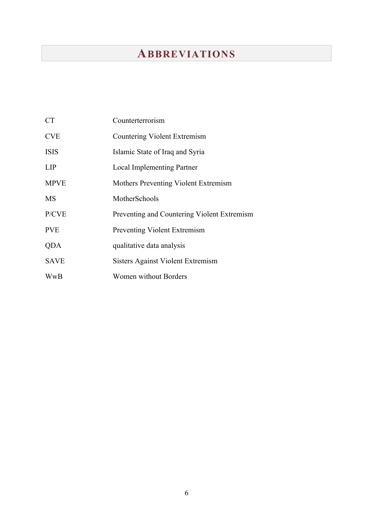# **ABBREVIATIONS**

| <b>CT</b>   | Counterterrorism                            |
|-------------|---------------------------------------------|
| <b>CVE</b>  | Countering Violent Extremism                |
| <b>ISIS</b> | Islamic State of Iraq and Syria             |
| <b>LIP</b>  | <b>Local Implementing Partner</b>           |
| <b>MPVE</b> | Mothers Preventing Violent Extremism        |
| <b>MS</b>   | MotherSchools                               |
| P/CVE       | Preventing and Countering Violent Extremism |
| <b>PVE</b>  | Preventing Violent Extremism                |
| <b>QDA</b>  | qualitative data analysis                   |
| <b>SAVE</b> | Sisters Against Violent Extremism           |
| WwB         | Women without Borders                       |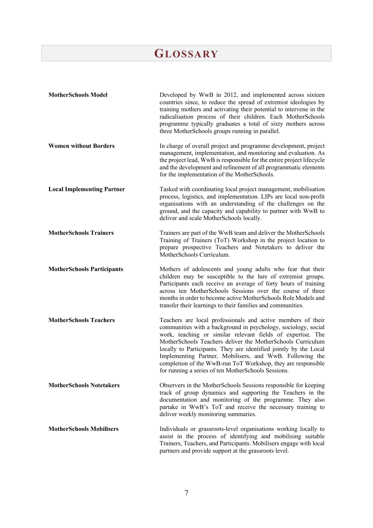# **GLOSSARY**

| <b>MotherSchools Model</b>        | Developed by WwB in 2012, and implemented across sixteen<br>countries since, to reduce the spread of extremist ideologies by<br>training mothers and activating their potential to intervene in the<br>radicalisation process of their children. Each MotherSchools<br>programme typically graduates a total of sixty mothers across<br>three MotherSchools groups running in parallel.                                                                                                                              |
|-----------------------------------|----------------------------------------------------------------------------------------------------------------------------------------------------------------------------------------------------------------------------------------------------------------------------------------------------------------------------------------------------------------------------------------------------------------------------------------------------------------------------------------------------------------------|
| <b>Women without Borders</b>      | In charge of overall project and programme development, project<br>management, implementation, and monitoring and evaluation. As<br>the project lead, WwB is responsible for the entire project lifecycle<br>and the development and refinement of all programmatic elements<br>for the implementation of the MotherSchools.                                                                                                                                                                                         |
| <b>Local Implementing Partner</b> | Tasked with coordinating local project management, mobilisation<br>process, logistics, and implementation. LIPs are local non-profit<br>organisations with an understanding of the challenges on the<br>ground, and the capacity and capability to partner with WwB to<br>deliver and scale MotherSchools locally.                                                                                                                                                                                                   |
| <b>MotherSchools Trainers</b>     | Trainers are part of the WwB team and deliver the MotherSchools<br>Training of Trainers (ToT) Workshop in the project location to<br>prepare prospective Teachers and Notetakers to deliver the<br>MotherSchools Curriculum.                                                                                                                                                                                                                                                                                         |
| <b>MotherSchools Participants</b> | Mothers of adolescents and young adults who fear that their<br>children may be susceptible to the lure of extremist groups.<br>Participants each receive an average of forty hours of training<br>across ten MotherSchools Sessions over the course of three<br>months in order to become active MotherSchools Role Models and<br>transfer their learnings to their families and communities.                                                                                                                        |
| <b>MotherSchools Teachers</b>     | Teachers are local professionals and active members of their<br>communities with a background in psychology, sociology, social<br>work, teaching or similar relevant fields of expertise. The<br>MotherSchools Teachers deliver the MotherSchools Curriculum<br>locally to Participants. They are identified jointly by the Local<br>Implementing Partner, Mobilisers, and WwB. Following the<br>completion of the WwB-run ToT Workshop, they are responsible<br>for running a series of ten MotherSchools Sessions. |
| <b>MotherSchools Notetakers</b>   | Observers in the MotherSchools Sessions responsible for keeping<br>track of group dynamics and supporting the Teachers in the<br>documentation and monitoring of the programme. They also<br>partake in WwB's ToT and receive the necessary training to<br>deliver weekly monitoring summaries.                                                                                                                                                                                                                      |
| <b>MotherSchools Mobilisers</b>   | Individuals or grassroots-level organisations working locally to<br>assist in the process of identifying and mobilising suitable<br>Trainers, Teachers, and Participants. Mobilisers engage with local<br>partners and provide support at the grassroots level.                                                                                                                                                                                                                                                      |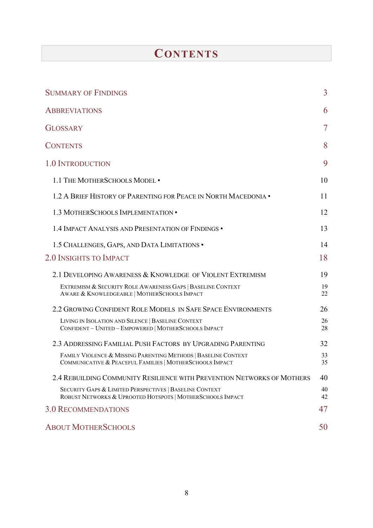# **CONTENTS**

| <b>SUMMARY OF FINDINGS</b>                                                                                                 | $\overline{3}$ |
|----------------------------------------------------------------------------------------------------------------------------|----------------|
| <b>ABBREVIATIONS</b>                                                                                                       | 6              |
| <b>GLOSSARY</b>                                                                                                            | 7              |
| <b>CONTENTS</b>                                                                                                            | 8              |
| 1.0 INTRODUCTION                                                                                                           | 9              |
| 1.1 THE MOTHERSCHOOLS MODEL .                                                                                              | 10             |
| 1.2 A BRIEF HISTORY OF PARENTING FOR PEACE IN NORTH MACEDONIA .                                                            | 11             |
| 1.3 MOTHERSCHOOLS IMPLEMENTATION .                                                                                         | 12             |
| 1.4 IMPACT ANALYSIS AND PRESENTATION OF FINDINGS .                                                                         | 13             |
| 1.5 CHALLENGES, GAPS, AND DATA LIMITATIONS .                                                                               | 14             |
| 2.0 INSIGHTS TO IMPACT                                                                                                     | 18             |
| 2.1 DEVELOPING AWARENESS & KNOWLEDGE OF VIOLENT EXTREMISM                                                                  | 19             |
| EXTREMISM & SECURITY ROLE AWARENESS GAPS   BASELINE CONTEXT<br>AWARE & KNOWLEDGEABLE   MOTHERSCHOOLS IMPACT                | 19<br>22       |
| 2.2 GROWING CONFIDENT ROLE MODELS IN SAFE SPACE ENVIRONMENTS                                                               | 26             |
| LIVING IN ISOLATION AND SILENCE   BASELINE CONTEXT<br>CONFIDENT - UNITED - EMPOWERED   MOTHERSCHOOLS IMPACT                | 26<br>28       |
| 2.3 ADDRESSING FAMILIAL PUSH FACTORS BY UPGRADING PARENTING                                                                | 32             |
| FAMILY VIOLENCE & MISSING PARENTING METHODS   BASELINE CONTEXT<br>COMMUNICATIVE & PEACEFUL FAMILIES   MOTHERSCHOOLS IMPACT | 33<br>35       |
| 2.4 REBUILDING COMMUNITY RESILIENCE WITH PREVENTION NETWORKS OF MOTHERS                                                    | 40             |
| SECURITY GAPS & LIMITED PERSPECTIVES   BASELINE CONTEXT<br>ROBUST NETWORKS & UPROOTED HOTSPOTS   MOTHERSCHOOLS IMPACT      | 40<br>42       |
| <b>3.0 RECOMMENDATIONS</b>                                                                                                 | 47             |
| <b>ABOUT MOTHERSCHOOLS</b>                                                                                                 | 50             |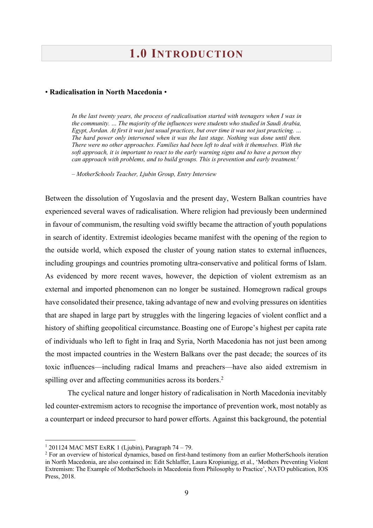## **1.0 INTRODUCTION**

#### • **Radicalisation in North Macedonia** •

In the last twenty years, the process of radicalisation started with teenagers when I was in *the community. … The majority of the influences were students who studied in Saudi Arabia, Egypt, Jordan. At first it was just usual practices, but over time it was not just practicing. … The hard power only intervened when it was the last stage. Nothing was done until then. There were no other approaches. Families had been left to deal with it themselves. With the soft approach, it is important to react to the early warning signs and to have a person they can approach with problems, and to build groups. This is prevention and early treatment.*<sup>1</sup>

*– MotherSchools Teacher, Ljubin Group, Entry Interview*

Between the dissolution of Yugoslavia and the present day, Western Balkan countries have experienced several waves of radicalisation. Where religion had previously been undermined in favour of communism, the resulting void swiftly became the attraction of youth populations in search of identity. Extremist ideologies became manifest with the opening of the region to the outside world, which exposed the cluster of young nation states to external influences, including groupings and countries promoting ultra-conservative and political forms of Islam. As evidenced by more recent waves, however, the depiction of violent extremism as an external and imported phenomenon can no longer be sustained. Homegrown radical groups have consolidated their presence, taking advantage of new and evolving pressures on identities that are shaped in large part by struggles with the lingering legacies of violent conflict and a history of shifting geopolitical circumstance. Boasting one of Europe's highest per capita rate of individuals who left to fight in Iraq and Syria, North Macedonia has not just been among the most impacted countries in the Western Balkans over the past decade; the sources of its toxic influences—including radical Imams and preachers—have also aided extremism in spilling over and affecting communities across its borders.<sup>2</sup>

The cyclical nature and longer history of radicalisation in North Macedonia inevitably led counter-extremism actors to recognise the importance of prevention work, most notably as a counterpart or indeed precursor to hard power efforts. Against this background, the potential

 $1$  201124 MAC MST ExRK 1 (Ljubin), Paragraph 74 – 79.

<sup>&</sup>lt;sup>2</sup> For an overview of historical dynamics, based on first-hand testimony from an earlier MotherSchools iteration in North Macedonia, are also contained in: Edit Schlaffer, Laura Kropiunigg, et al., 'Mothers Preventing Violent Extremism: The Example of MotherSchools in Macedonia from Philosophy to Practice', NATO publication, IOS Press, 2018.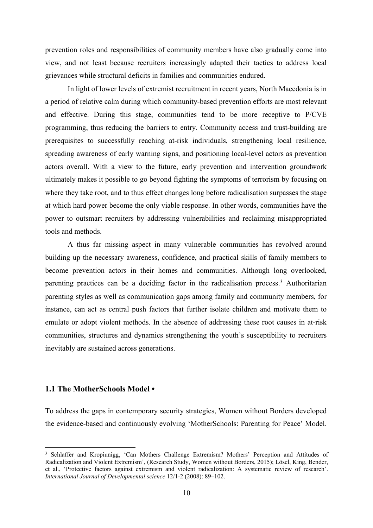prevention roles and responsibilities of community members have also gradually come into view, and not least because recruiters increasingly adapted their tactics to address local grievances while structural deficits in families and communities endured.

In light of lower levels of extremist recruitment in recent years, North Macedonia is in a period of relative calm during which community-based prevention efforts are most relevant and effective. During this stage, communities tend to be more receptive to P/CVE programming, thus reducing the barriers to entry. Community access and trust-building are prerequisites to successfully reaching at-risk individuals, strengthening local resilience, spreading awareness of early warning signs, and positioning local-level actors as prevention actors overall. With a view to the future, early prevention and intervention groundwork ultimately makes it possible to go beyond fighting the symptoms of terrorism by focusing on where they take root, and to thus effect changes long before radicalisation surpasses the stage at which hard power become the only viable response. In other words, communities have the power to outsmart recruiters by addressing vulnerabilities and reclaiming misappropriated tools and methods.

A thus far missing aspect in many vulnerable communities has revolved around building up the necessary awareness, confidence, and practical skills of family members to become prevention actors in their homes and communities. Although long overlooked, parenting practices can be a deciding factor in the radicalisation process.<sup>3</sup> Authoritarian parenting styles as well as communication gaps among family and community members, for instance, can act as central push factors that further isolate children and motivate them to emulate or adopt violent methods. In the absence of addressing these root causes in at-risk communities, structures and dynamics strengthening the youth's susceptibility to recruiters inevitably are sustained across generations.

#### **1.1 The MotherSchools Model •**

To address the gaps in contemporary security strategies, Women without Borders developed the evidence-based and continuously evolving 'MotherSchools: Parenting for Peace' Model.

<sup>3</sup> Schlaffer and Kropiunigg, 'Can Mothers Challenge Extremism? Mothers' Perception and Attitudes of Radicalization and Violent Extremism', (Research Study, Women without Borders, 2015); Lösel, King, Bender, et al., 'Protective factors against extremism and violent radicalization: A systematic review of research'. *International Journal of Developmental science* 12/1-2 (2008): 89–102.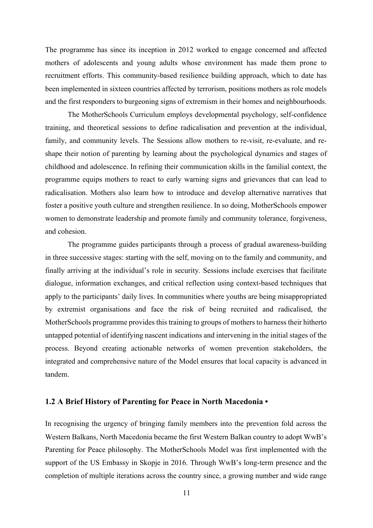The programme has since its inception in 2012 worked to engage concerned and affected mothers of adolescents and young adults whose environment has made them prone to recruitment efforts. This community-based resilience building approach, which to date has been implemented in sixteen countries affected by terrorism, positions mothers as role models and the first responders to burgeoning signs of extremism in their homes and neighbourhoods.

The MotherSchools Curriculum employs developmental psychology, self-confidence training, and theoretical sessions to define radicalisation and prevention at the individual, family, and community levels. The Sessions allow mothers to re-visit, re-evaluate, and reshape their notion of parenting by learning about the psychological dynamics and stages of childhood and adolescence. In refining their communication skills in the familial context, the programme equips mothers to react to early warning signs and grievances that can lead to radicalisation. Mothers also learn how to introduce and develop alternative narratives that foster a positive youth culture and strengthen resilience. In so doing, MotherSchools empower women to demonstrate leadership and promote family and community tolerance, forgiveness, and cohesion.

The programme guides participants through a process of gradual awareness-building in three successive stages: starting with the self, moving on to the family and community, and finally arriving at the individual's role in security. Sessions include exercises that facilitate dialogue, information exchanges, and critical reflection using context-based techniques that apply to the participants' daily lives. In communities where youths are being misappropriated by extremist organisations and face the risk of being recruited and radicalised, the MotherSchools programme provides this training to groups of mothers to harness their hitherto untapped potential of identifying nascent indications and intervening in the initial stages of the process. Beyond creating actionable networks of women prevention stakeholders, the integrated and comprehensive nature of the Model ensures that local capacity is advanced in tandem.

#### **1.2 A Brief History of Parenting for Peace in North Macedonia •**

In recognising the urgency of bringing family members into the prevention fold across the Western Balkans, North Macedonia became the first Western Balkan country to adopt WwB's Parenting for Peace philosophy. The MotherSchools Model was first implemented with the support of the US Embassy in Skopje in 2016. Through WwB's long-term presence and the completion of multiple iterations across the country since, a growing number and wide range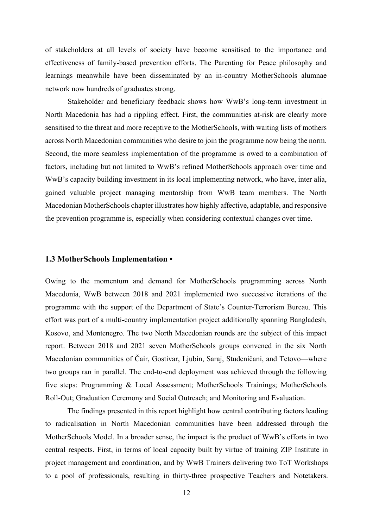of stakeholders at all levels of society have become sensitised to the importance and effectiveness of family-based prevention efforts. The Parenting for Peace philosophy and learnings meanwhile have been disseminated by an in-country MotherSchools alumnae network now hundreds of graduates strong.

Stakeholder and beneficiary feedback shows how WwB's long-term investment in North Macedonia has had a rippling effect. First, the communities at-risk are clearly more sensitised to the threat and more receptive to the MotherSchools, with waiting lists of mothers across North Macedonian communities who desire to join the programme now being the norm. Second, the more seamless implementation of the programme is owed to a combination of factors, including but not limited to WwB's refined MotherSchools approach over time and WwB's capacity building investment in its local implementing network, who have, inter alia, gained valuable project managing mentorship from WwB team members. The North Macedonian MotherSchools chapter illustrates how highly affective, adaptable, and responsive the prevention programme is, especially when considering contextual changes over time.

#### **1.3 MotherSchools Implementation •**

Owing to the momentum and demand for MotherSchools programming across North Macedonia, WwB between 2018 and 2021 implemented two successive iterations of the programme with the support of the Department of State's Counter-Terrorism Bureau. This effort was part of a multi-country implementation project additionally spanning Bangladesh, Kosovo, and Montenegro. The two North Macedonian rounds are the subject of this impact report. Between 2018 and 2021 seven MotherSchools groups convened in the six North Macedonian communities of Čair, Gostivar, Ljubin, Saraj, Studeničani, and Tetovo—where two groups ran in parallel. The end-to-end deployment was achieved through the following five steps: Programming & Local Assessment; MotherSchools Trainings; MotherSchools Roll-Out; Graduation Ceremony and Social Outreach; and Monitoring and Evaluation.

The findings presented in this report highlight how central contributing factors leading to radicalisation in North Macedonian communities have been addressed through the MotherSchools Model. In a broader sense, the impact is the product of WwB's efforts in two central respects. First, in terms of local capacity built by virtue of training ZIP Institute in project management and coordination, and by WwB Trainers delivering two ToT Workshops to a pool of professionals, resulting in thirty-three prospective Teachers and Notetakers.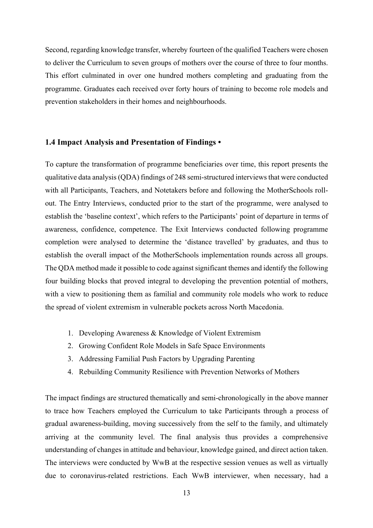Second, regarding knowledge transfer, whereby fourteen of the qualified Teachers were chosen to deliver the Curriculum to seven groups of mothers over the course of three to four months. This effort culminated in over one hundred mothers completing and graduating from the programme. Graduates each received over forty hours of training to become role models and prevention stakeholders in their homes and neighbourhoods.

#### **1.4 Impact Analysis and Presentation of Findings •**

To capture the transformation of programme beneficiaries over time, this report presents the qualitative data analysis (QDA) findings of 248 semi-structured interviews that were conducted with all Participants, Teachers, and Notetakers before and following the MotherSchools rollout. The Entry Interviews, conducted prior to the start of the programme, were analysed to establish the 'baseline context', which refers to the Participants' point of departure in terms of awareness, confidence, competence. The Exit Interviews conducted following programme completion were analysed to determine the 'distance travelled' by graduates, and thus to establish the overall impact of the MotherSchools implementation rounds across all groups. The QDA method made it possible to code against significant themes and identify the following four building blocks that proved integral to developing the prevention potential of mothers, with a view to positioning them as familial and community role models who work to reduce the spread of violent extremism in vulnerable pockets across North Macedonia.

- 1. Developing Awareness & Knowledge of Violent Extremism
- 2. Growing Confident Role Models in Safe Space Environments
- 3. Addressing Familial Push Factors by Upgrading Parenting
- 4. Rebuilding Community Resilience with Prevention Networks of Mothers

The impact findings are structured thematically and semi-chronologically in the above manner to trace how Teachers employed the Curriculum to take Participants through a process of gradual awareness-building, moving successively from the self to the family, and ultimately arriving at the community level. The final analysis thus provides a comprehensive understanding of changes in attitude and behaviour, knowledge gained, and direct action taken. The interviews were conducted by WwB at the respective session venues as well as virtually due to coronavirus-related restrictions. Each WwB interviewer, when necessary, had a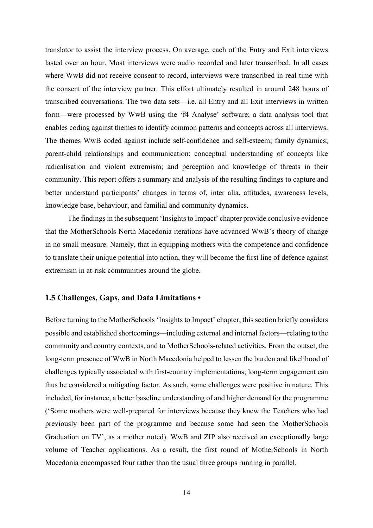translator to assist the interview process. On average, each of the Entry and Exit interviews lasted over an hour. Most interviews were audio recorded and later transcribed. In all cases where WwB did not receive consent to record, interviews were transcribed in real time with the consent of the interview partner. This effort ultimately resulted in around 248 hours of transcribed conversations. The two data sets—i.e. all Entry and all Exit interviews in written form—were processed by WwB using the 'f4 Analyse' software; a data analysis tool that enables coding against themes to identify common patterns and concepts across all interviews. The themes WwB coded against include self-confidence and self-esteem; family dynamics; parent-child relationships and communication; conceptual understanding of concepts like radicalisation and violent extremism; and perception and knowledge of threats in their community. This report offers a summary and analysis of the resulting findings to capture and better understand participants' changes in terms of, inter alia, attitudes, awareness levels, knowledge base, behaviour, and familial and community dynamics.

The findings in the subsequent 'Insights to Impact' chapter provide conclusive evidence that the MotherSchools North Macedonia iterations have advanced WwB's theory of change in no small measure. Namely, that in equipping mothers with the competence and confidence to translate their unique potential into action, they will become the first line of defence against extremism in at-risk communities around the globe.

#### **1.5 Challenges, Gaps, and Data Limitations •**

Before turning to the MotherSchools 'Insights to Impact' chapter, this section briefly considers possible and established shortcomings—including external and internal factors—relating to the community and country contexts, and to MotherSchools-related activities. From the outset, the long-term presence of WwB in North Macedonia helped to lessen the burden and likelihood of challenges typically associated with first-country implementations; long-term engagement can thus be considered a mitigating factor. As such, some challenges were positive in nature. This included, for instance, a better baseline understanding of and higher demand for the programme ('Some mothers were well-prepared for interviews because they knew the Teachers who had previously been part of the programme and because some had seen the MotherSchools Graduation on TV', as a mother noted). WwB and ZIP also received an exceptionally large volume of Teacher applications. As a result, the first round of MotherSchools in North Macedonia encompassed four rather than the usual three groups running in parallel.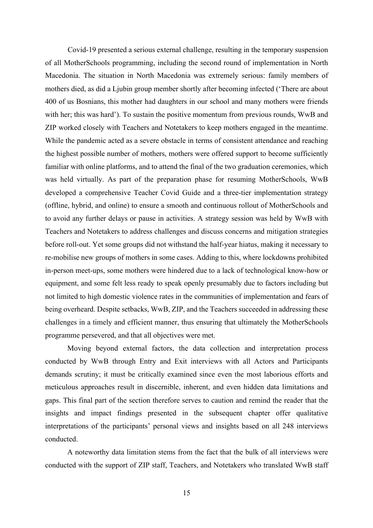Covid-19 presented a serious external challenge, resulting in the temporary suspension of all MotherSchools programming, including the second round of implementation in North Macedonia. The situation in North Macedonia was extremely serious: family members of mothers died, as did a Ljubin group member shortly after becoming infected ('There are about 400 of us Bosnians, this mother had daughters in our school and many mothers were friends with her; this was hard'). To sustain the positive momentum from previous rounds, WwB and ZIP worked closely with Teachers and Notetakers to keep mothers engaged in the meantime. While the pandemic acted as a severe obstacle in terms of consistent attendance and reaching the highest possible number of mothers, mothers were offered support to become sufficiently familiar with online platforms, and to attend the final of the two graduation ceremonies, which was held virtually. As part of the preparation phase for resuming MotherSchools, WwB developed a comprehensive Teacher Covid Guide and a three-tier implementation strategy (offline, hybrid, and online) to ensure a smooth and continuous rollout of MotherSchools and to avoid any further delays or pause in activities. A strategy session was held by WwB with Teachers and Notetakers to address challenges and discuss concerns and mitigation strategies before roll-out. Yet some groups did not withstand the half-year hiatus, making it necessary to re-mobilise new groups of mothers in some cases. Adding to this, where lockdowns prohibited in-person meet-ups, some mothers were hindered due to a lack of technological know-how or equipment, and some felt less ready to speak openly presumably due to factors including but not limited to high domestic violence rates in the communities of implementation and fears of being overheard. Despite setbacks, WwB, ZIP, and the Teachers succeeded in addressing these challenges in a timely and efficient manner, thus ensuring that ultimately the MotherSchools programme persevered, and that all objectives were met.

Moving beyond external factors, the data collection and interpretation process conducted by WwB through Entry and Exit interviews with all Actors and Participants demands scrutiny; it must be critically examined since even the most laborious efforts and meticulous approaches result in discernible, inherent, and even hidden data limitations and gaps. This final part of the section therefore serves to caution and remind the reader that the insights and impact findings presented in the subsequent chapter offer qualitative interpretations of the participants' personal views and insights based on all 248 interviews conducted.

A noteworthy data limitation stems from the fact that the bulk of all interviews were conducted with the support of ZIP staff, Teachers, and Notetakers who translated WwB staff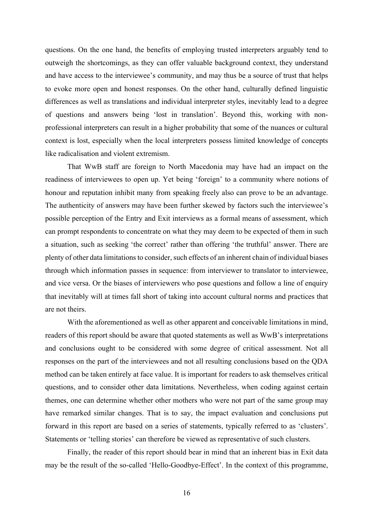questions. On the one hand, the benefits of employing trusted interpreters arguably tend to outweigh the shortcomings, as they can offer valuable background context, they understand and have access to the interviewee's community, and may thus be a source of trust that helps to evoke more open and honest responses. On the other hand, culturally defined linguistic differences as well as translations and individual interpreter styles, inevitably lead to a degree of questions and answers being 'lost in translation'. Beyond this, working with nonprofessional interpreters can result in a higher probability that some of the nuances or cultural context is lost, especially when the local interpreters possess limited knowledge of concepts like radicalisation and violent extremism.

That WwB staff are foreign to North Macedonia may have had an impact on the readiness of interviewees to open up. Yet being 'foreign' to a community where notions of honour and reputation inhibit many from speaking freely also can prove to be an advantage. The authenticity of answers may have been further skewed by factors such the interviewee's possible perception of the Entry and Exit interviews as a formal means of assessment, which can prompt respondents to concentrate on what they may deem to be expected of them in such a situation, such as seeking 'the correct' rather than offering 'the truthful' answer. There are plenty of other data limitations to consider, such effects of an inherent chain of individual biases through which information passes in sequence: from interviewer to translator to interviewee, and vice versa. Or the biases of interviewers who pose questions and follow a line of enquiry that inevitably will at times fall short of taking into account cultural norms and practices that are not theirs.

With the aforementioned as well as other apparent and conceivable limitations in mind, readers of this report should be aware that quoted statements as well as WwB's interpretations and conclusions ought to be considered with some degree of critical assessment. Not all responses on the part of the interviewees and not all resulting conclusions based on the QDA method can be taken entirely at face value. It is important for readers to ask themselves critical questions, and to consider other data limitations. Nevertheless, when coding against certain themes, one can determine whether other mothers who were not part of the same group may have remarked similar changes. That is to say, the impact evaluation and conclusions put forward in this report are based on a series of statements, typically referred to as 'clusters'. Statements or 'telling stories' can therefore be viewed as representative of such clusters.

Finally, the reader of this report should bear in mind that an inherent bias in Exit data may be the result of the so-called 'Hello-Goodbye-Effect'. In the context of this programme,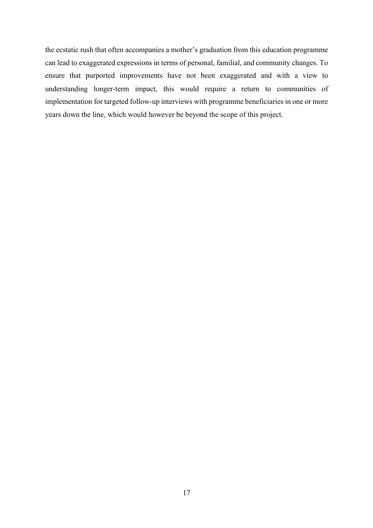the ecstatic rush that often accompanies a mother's graduation from this education programme can lead to exaggerated expressions in terms of personal, familial, and community changes. To ensure that purported improvements have not been exaggerated and with a view to understanding longer-term impact, this would require a return to communities of implementation for targeted follow-up interviews with programme beneficiaries in one or more years down the line, which would however be beyond the scope of this project.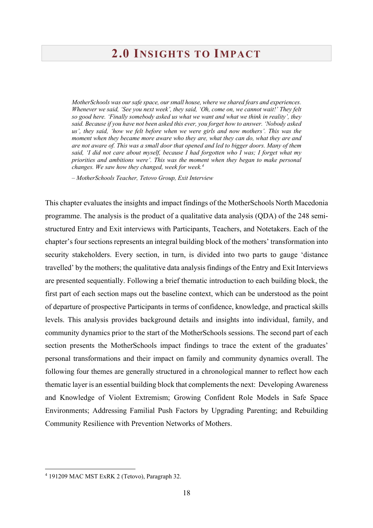## **2.0 INSIGHTS TO IMPACT**

*MotherSchools was our safe space, our small house, where we shared fears and experiences. Whenever we said, 'See you next week', they said, 'Oh, come on, we cannot wait!' They felt so good here. 'Finally somebody asked us what we want and what we think in reality', they said. Because if you have not been asked this ever, you forget how to answer. 'Nobody asked us', they said, 'how we felt before when we were girls and now mothers'. This was the moment when they became more aware who they are, what they can do, what they are and are not aware of. This was a small door that opened and led to bigger doors. Many of them said, 'I did not care about myself, because I had forgotten who I was; I forget what my priorities and ambitions were'. This was the moment when they began to make personal changes. We saw how they changed, week for week.4*

*– MotherSchools Teacher, Tetovo Group, Exit Interview*

This chapter evaluates the insights and impact findings of the MotherSchools North Macedonia programme. The analysis is the product of a qualitative data analysis (QDA) of the 248 semistructured Entry and Exit interviews with Participants, Teachers, and Notetakers. Each of the chapter's four sections represents an integral building block of the mothers' transformation into security stakeholders. Every section, in turn, is divided into two parts to gauge 'distance travelled' by the mothers; the qualitative data analysis findings of the Entry and Exit Interviews are presented sequentially. Following a brief thematic introduction to each building block, the first part of each section maps out the baseline context, which can be understood as the point of departure of prospective Participants in terms of confidence, knowledge, and practical skills levels. This analysis provides background details and insights into individual, family, and community dynamics prior to the start of the MotherSchools sessions. The second part of each section presents the MotherSchools impact findings to trace the extent of the graduates' personal transformations and their impact on family and community dynamics overall. The following four themes are generally structured in a chronological manner to reflect how each thematic layer is an essential building block that complements the next: Developing Awareness and Knowledge of Violent Extremism; Growing Confident Role Models in Safe Space Environments; Addressing Familial Push Factors by Upgrading Parenting; and Rebuilding Community Resilience with Prevention Networks of Mothers.

<sup>4</sup> 191209 MAC MST ExRK 2 (Tetovo), Paragraph 32.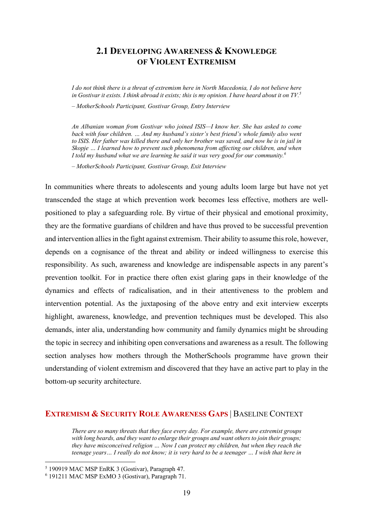### **2.1 DEVELOPING AWARENESS & KNOWLEDGE OF VIOLENT EXTREMISM**

*I do not think there is a threat of extremism here in North Macedonia, I do not believe here in Gostivar it exists. I think abroad it exists; this is my opinion. I have heard about it on TV.5*

*– MotherSchools Participant, Gostivar Group, Entry Interview*

*An Albanian woman from Gostivar who joined ISIS—I know her. She has asked to come back with four children. … And my husband's sister's best friend's whole family also went*  to ISIS. Her father was killed there and only her brother was saved, and now he is in jail in *Skopje … I learned how to prevent such phenomena from affecting our children, and when I told my husband what we are learning he said it was very good for our community. 6*

*– MotherSchools Participant, Gostivar Group, Exit Interview*

In communities where threats to adolescents and young adults loom large but have not yet transcended the stage at which prevention work becomes less effective, mothers are wellpositioned to play a safeguarding role. By virtue of their physical and emotional proximity, they are the formative guardians of children and have thus proved to be successful prevention and intervention allies in the fight against extremism. Their ability to assume this role, however, depends on a cognisance of the threat and ability or indeed willingness to exercise this responsibility. As such, awareness and knowledge are indispensable aspects in any parent's prevention toolkit. For in practice there often exist glaring gaps in their knowledge of the dynamics and effects of radicalisation, and in their attentiveness to the problem and intervention potential. As the juxtaposing of the above entry and exit interview excerpts highlight, awareness, knowledge, and prevention techniques must be developed. This also demands, inter alia, understanding how community and family dynamics might be shrouding the topic in secrecy and inhibiting open conversations and awareness as a result. The following section analyses how mothers through the MotherSchools programme have grown their understanding of violent extremism and discovered that they have an active part to play in the bottom-up security architecture.

#### **EXTREMISM & SECURITY ROLE AWARENESS GAPS** | BASELINE CONTEXT

*There are so many threats that they face every day. For example, there are extremist groups with long beards, and they want to enlarge their groups and want others to join their groups; they have misconceived religion … Now I can protect my children, but when they reach the teenage years… I really do not know; it is very hard to be a teenager … I wish that here in* 

<sup>5</sup> 190919 MAC MSP EnRK 3 (Gostivar), Paragraph 47.

<sup>6</sup> 191211 MAC MSP ExMO 3 (Gostivar), Paragraph 71.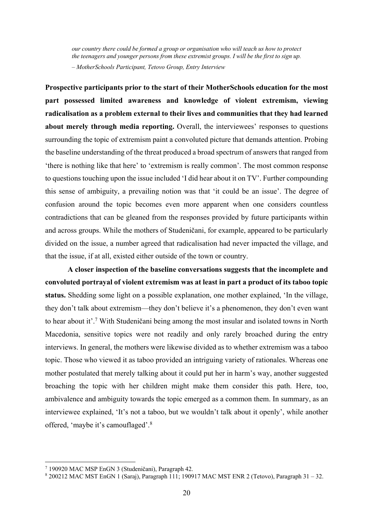*our country there could be formed a group or organisation who will teach us how to protect the teenagers and younger persons from these extremist groups. I will be the first to sign up. – MotherSchools Participant, Tetovo Group, Entry Interview*

**Prospective participants prior to the start of their MotherSchools education for the most part possessed limited awareness and knowledge of violent extremism, viewing radicalisation as a problem external to their lives and communities that they had learned about merely through media reporting.** Overall, the interviewees' responses to questions surrounding the topic of extremism paint a convoluted picture that demands attention. Probing the baseline understanding of the threat produced a broad spectrum of answers that ranged from 'there is nothing like that here' to 'extremism is really common'. The most common response to questions touching upon the issue included 'I did hear about it on TV'. Further compounding this sense of ambiguity, a prevailing notion was that 'it could be an issue'. The degree of confusion around the topic becomes even more apparent when one considers countless contradictions that can be gleaned from the responses provided by future participants within and across groups. While the mothers of Studeničani, for example, appeared to be particularly divided on the issue, a number agreed that radicalisation had never impacted the village, and that the issue, if at all, existed either outside of the town or country.

**A closer inspection of the baseline conversations suggests that the incomplete and convoluted portrayal of violent extremism was at least in part a product of its taboo topic status.** Shedding some light on a possible explanation, one mother explained, 'In the village, they don't talk about extremism—they don't believe it's a phenomenon, they don't even want to hear about it'.7 With Studeničani being among the most insular and isolated towns in North Macedonia, sensitive topics were not readily and only rarely broached during the entry interviews. In general, the mothers were likewise divided as to whether extremism was a taboo topic. Those who viewed it as taboo provided an intriguing variety of rationales. Whereas one mother postulated that merely talking about it could put her in harm's way, another suggested broaching the topic with her children might make them consider this path. Here, too, ambivalence and ambiguity towards the topic emerged as a common them. In summary, as an interviewee explained, 'It's not a taboo, but we wouldn't talk about it openly', while another offered, 'maybe it's camouflaged'.8

<sup>7</sup> 190920 MAC MSP EnGN 3 (Studeničani), Paragraph 42.

<sup>8</sup> 200212 MAC MST EnGN 1 (Saraj), Paragraph 111; 190917 MAC MST ENR 2 (Tetovo), Paragraph 31 – 32.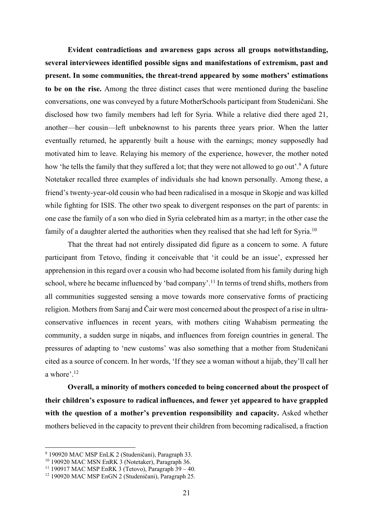**Evident contradictions and awareness gaps across all groups notwithstanding, several interviewees identified possible signs and manifestations of extremism, past and present. In some communities, the threat-trend appeared by some mothers' estimations to be on the rise.** Among the three distinct cases that were mentioned during the baseline conversations, one was conveyed by a future MotherSchools participant from Studeničani. She disclosed how two family members had left for Syria. While a relative died there aged 21, another—her cousin—left unbeknownst to his parents three years prior. When the latter eventually returned, he apparently built a house with the earnings; money supposedly had motivated him to leave. Relaying his memory of the experience, however, the mother noted how 'he tells the family that they suffered a lot; that they were not allowed to go out'.<sup>9</sup> A future Notetaker recalled three examples of individuals she had known personally. Among these, a friend's twenty-year-old cousin who had been radicalised in a mosque in Skopje and was killed while fighting for ISIS. The other two speak to divergent responses on the part of parents: in one case the family of a son who died in Syria celebrated him as a martyr; in the other case the family of a daughter alerted the authorities when they realised that she had left for Syria.<sup>10</sup>

That the threat had not entirely dissipated did figure as a concern to some. A future participant from Tetovo, finding it conceivable that 'it could be an issue', expressed her apprehension in this regard over a cousin who had become isolated from his family during high school, where he became influenced by 'bad company'.<sup>11</sup> In terms of trend shifts, mothers from all communities suggested sensing a move towards more conservative forms of practicing religion. Mothers from Saraj and Čair were most concerned about the prospect of a rise in ultraconservative influences in recent years, with mothers citing Wahabism permeating the community, a sudden surge in niqabs, and influences from foreign countries in general. The pressures of adapting to 'new customs' was also something that a mother from Studeničani cited as a source of concern. In her words, 'If they see a woman without a hijab, they'll call her a whore'.12

**Overall, a minority of mothers conceded to being concerned about the prospect of their children's exposure to radical influences, and fewer yet appeared to have grappled**  with the question of a mother's prevention responsibility and capacity. Asked whether mothers believed in the capacity to prevent their children from becoming radicalised, a fraction

<sup>9</sup> 190920 MAC MSP EnLK 2 (Studeničani), Paragraph 33.

<sup>&</sup>lt;sup>10</sup> 190920 MAC MSN EnRK 3 (Notetaker), Paragraph 36.

<sup>&</sup>lt;sup>11</sup> 190917 MAC MSP EnRK 3 (Tetovo), Paragraph  $39 - 40$ .

<sup>12</sup> 190920 MAC MSP EnGN 2 (Studeničani), Paragraph 25.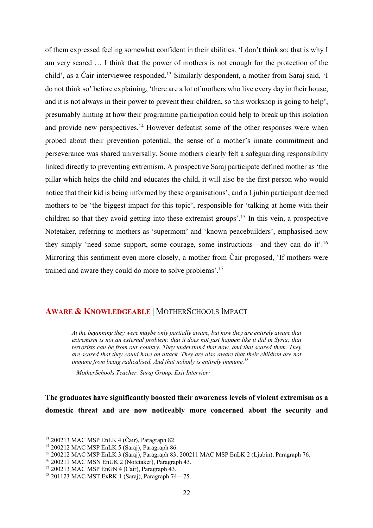of them expressed feeling somewhat confident in their abilities. 'I don't think so; that is why I am very scared … I think that the power of mothers is not enough for the protection of the child', as a Čair interviewee responded.13 Similarly despondent, a mother from Saraj said, 'I do not think so' before explaining, 'there are a lot of mothers who live every day in their house, and it is not always in their power to prevent their children, so this workshop is going to help', presumably hinting at how their programme participation could help to break up this isolation and provide new perspectives.<sup>14</sup> However defeatist some of the other responses were when probed about their prevention potential, the sense of a mother's innate commitment and perseverance was shared universally. Some mothers clearly felt a safeguarding responsibility linked directly to preventing extremism. A prospective Saraj participate defined mother as 'the pillar which helps the child and educates the child, it will also be the first person who would notice that their kid is being informed by these organisations', and a Ljubin participant deemed mothers to be 'the biggest impact for this topic', responsible for 'talking at home with their children so that they avoid getting into these extremist groups'.15 In this vein, a prospective Notetaker, referring to mothers as 'supermom' and 'known peacebuilders', emphasised how they simply 'need some support, some courage, some instructions—and they can do it'.16 Mirroring this sentiment even more closely, a mother from Čair proposed, 'If mothers were trained and aware they could do more to solve problems'.17

#### **AWARE & KNOWLEDGEABLE** | MOTHERSCHOOLS IMPACT

*At the beginning they were maybe only partially aware, but now they are entirely aware that extremism is not an external problem: that it does not just happen like it did in Syria; that terrorists can be from our country. They understand that now, and that scared them. They are scared that they could have an attack. They are also aware that their children are not immune from being radicalised. And that nobody is entirely immune.18*

*– MotherSchools Teacher, Saraj Group, Exit Interview*

**The graduates have significantly boosted their awareness levels of violent extremism as a domestic threat and are now noticeably more concerned about the security and** 

<sup>13</sup> 200213 MAC MSP EnLK 4 (Čair), Paragraph 82.

<sup>14</sup> 200212 MAC MSP EnLK 5 (Saraj), Paragraph 86.

<sup>15</sup> 200212 MAC MSP EnLK 3 (Saraj), Paragraph 83; 200211 MAC MSP EnLK 2 (Ljubin), Paragraph 76.

<sup>&</sup>lt;sup>16</sup> 200211 MAC MSN EnUK 2 (Notetaker), Paragraph 43.

<sup>17</sup> 200213 MAC MSP EnGN 4 (Cair), Paragraph 43.

<sup>18</sup> 201123 MAC MST ExRK 1 (Saraj), Paragraph 74 – 75.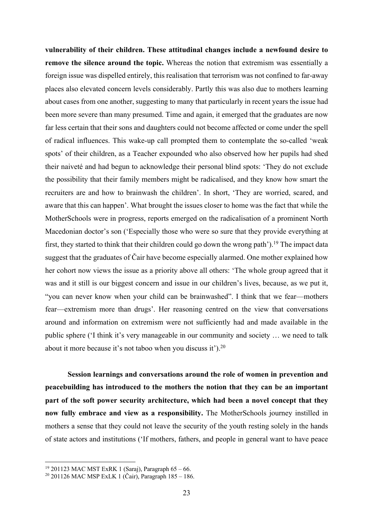**vulnerability of their children. These attitudinal changes include a newfound desire to remove the silence around the topic.** Whereas the notion that extremism was essentially a foreign issue was dispelled entirely, this realisation that terrorism was not confined to far-away places also elevated concern levels considerably. Partly this was also due to mothers learning about cases from one another, suggesting to many that particularly in recent years the issue had been more severe than many presumed. Time and again, it emerged that the graduates are now far less certain that their sons and daughters could not become affected or come under the spell of radical influences. This wake-up call prompted them to contemplate the so-called 'weak spots' of their children, as a Teacher expounded who also observed how her pupils had shed their naiveté and had begun to acknowledge their personal blind spots: 'They do not exclude the possibility that their family members might be radicalised, and they know how smart the recruiters are and how to brainwash the children'. In short, 'They are worried, scared, and aware that this can happen'. What brought the issues closer to home was the fact that while the MotherSchools were in progress, reports emerged on the radicalisation of a prominent North Macedonian doctor's son ('Especially those who were so sure that they provide everything at first, they started to think that their children could go down the wrong path').<sup>19</sup> The impact data suggest that the graduates of Čair have become especially alarmed. One mother explained how her cohort now views the issue as a priority above all others: 'The whole group agreed that it was and it still is our biggest concern and issue in our children's lives, because, as we put it, "you can never know when your child can be brainwashed". I think that we fear—mothers fear—extremism more than drugs'. Her reasoning centred on the view that conversations around and information on extremism were not sufficiently had and made available in the public sphere ('I think it's very manageable in our community and society … we need to talk about it more because it's not taboo when you discuss it').<sup>20</sup>

**Session learnings and conversations around the role of women in prevention and peacebuilding has introduced to the mothers the notion that they can be an important part of the soft power security architecture, which had been a novel concept that they now fully embrace and view as a responsibility.** The MotherSchools journey instilled in mothers a sense that they could not leave the security of the youth resting solely in the hands of state actors and institutions ('If mothers, fathers, and people in general want to have peace

<sup>&</sup>lt;sup>19</sup> 201123 MAC MST ExRK 1 (Saraj), Paragraph  $65 - 66$ .

<sup>20</sup> 201126 MAC MSP ExLK 1 (Čair), Paragraph 185 – 186.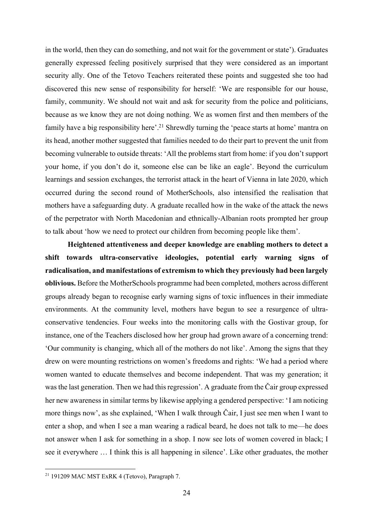in the world, then they can do something, and not wait for the government or state'). Graduates generally expressed feeling positively surprised that they were considered as an important security ally. One of the Tetovo Teachers reiterated these points and suggested she too had discovered this new sense of responsibility for herself: 'We are responsible for our house, family, community. We should not wait and ask for security from the police and politicians, because as we know they are not doing nothing. We as women first and then members of the family have a big responsibility here'.<sup>21</sup> Shrewdly turning the 'peace starts at home' mantra on its head, another mother suggested that families needed to do their part to prevent the unit from becoming vulnerable to outside threats: 'All the problems start from home: if you don't support your home, if you don't do it, someone else can be like an eagle'. Beyond the curriculum learnings and session exchanges, the terrorist attack in the heart of Vienna in late 2020, which occurred during the second round of MotherSchools, also intensified the realisation that mothers have a safeguarding duty. A graduate recalled how in the wake of the attack the news of the perpetrator with North Macedonian and ethnically-Albanian roots prompted her group to talk about 'how we need to protect our children from becoming people like them'.

**Heightened attentiveness and deeper knowledge are enabling mothers to detect a shift towards ultra-conservative ideologies, potential early warning signs of radicalisation, and manifestations of extremism to which they previously had been largely oblivious.** Before the MotherSchools programme had been completed, mothers across different groups already began to recognise early warning signs of toxic influences in their immediate environments. At the community level, mothers have begun to see a resurgence of ultraconservative tendencies. Four weeks into the monitoring calls with the Gostivar group, for instance, one of the Teachers disclosed how her group had grown aware of a concerning trend: 'Our community is changing, which all of the mothers do not like'. Among the signs that they drew on were mounting restrictions on women's freedoms and rights: 'We had a period where women wanted to educate themselves and become independent. That was my generation; it was the last generation. Then we had this regression'. A graduate from the Čair group expressed her new awareness in similar terms by likewise applying a gendered perspective: 'I am noticing more things now', as she explained, 'When I walk through Čair, I just see men when I want to enter a shop, and when I see a man wearing a radical beard, he does not talk to me—he does not answer when I ask for something in a shop. I now see lots of women covered in black; I see it everywhere … I think this is all happening in silence'. Like other graduates, the mother

<sup>21</sup> 191209 MAC MST ExRK 4 (Tetovo), Paragraph 7.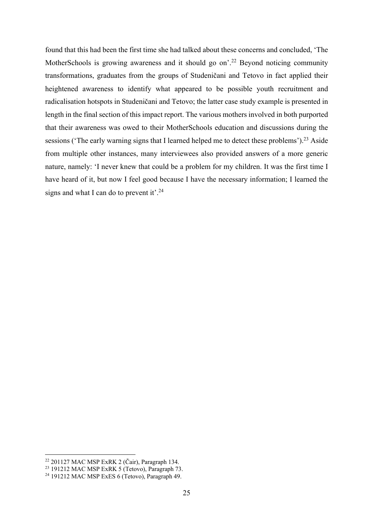found that this had been the first time she had talked about these concerns and concluded, 'The MotherSchools is growing awareness and it should go on<sup>'22</sup> Beyond noticing community transformations, graduates from the groups of Studeničani and Tetovo in fact applied their heightened awareness to identify what appeared to be possible youth recruitment and radicalisation hotspots in Studeničani and Tetovo; the latter case study example is presented in length in the final section of this impact report. The various mothers involved in both purported that their awareness was owed to their MotherSchools education and discussions during the sessions ('The early warning signs that I learned helped me to detect these problems').<sup>23</sup> Aside from multiple other instances, many interviewees also provided answers of a more generic nature, namely: 'I never knew that could be a problem for my children. It was the first time I have heard of it, but now I feel good because I have the necessary information; I learned the signs and what I can do to prevent it'.<sup>24</sup>

<sup>22</sup> 201127 MAC MSP ExRK 2 (Čair), Paragraph 134.

<sup>23</sup> 191212 MAC MSP ExRK 5 (Tetovo), Paragraph 73.

<sup>24</sup> 191212 MAC MSP ExES 6 (Tetovo), Paragraph 49.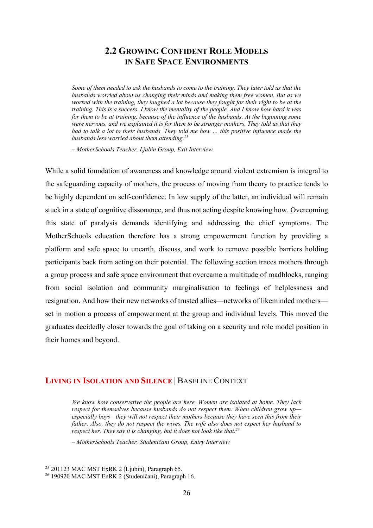### **2.2 GROWING CONFIDENT ROLE MODELS IN SAFE SPACE ENVIRONMENTS**

*Some of them needed to ask the husbands to come to the training. They later told us that the husbands worried about us changing their minds and making them free women. But as we worked with the training, they laughed a lot because they fought for their right to be at the training. This is a success. I know the mentality of the people. And I know how hard it was for them to be at training, because of the influence of the husbands. At the beginning some were nervous, and we explained it is for them to be stronger mothers. They told us that they had to talk a lot to their husbands. They told me how … this positive influence made the husbands less worried about them attending.25*

*– MotherSchools Teacher, Ljubin Group, Exit Interview*

While a solid foundation of awareness and knowledge around violent extremism is integral to the safeguarding capacity of mothers, the process of moving from theory to practice tends to be highly dependent on self-confidence. In low supply of the latter, an individual will remain stuck in a state of cognitive dissonance, and thus not acting despite knowing how. Overcoming this state of paralysis demands identifying and addressing the chief symptoms. The MotherSchools education therefore has a strong empowerment function by providing a platform and safe space to unearth, discuss, and work to remove possible barriers holding participants back from acting on their potential. The following section traces mothers through a group process and safe space environment that overcame a multitude of roadblocks, ranging from social isolation and community marginalisation to feelings of helplessness and resignation. And how their new networks of trusted allies—networks of likeminded mothers set in motion a process of empowerment at the group and individual levels. This moved the graduates decidedly closer towards the goal of taking on a security and role model position in their homes and beyond.

#### **LIVING IN ISOLATION AND SILENCE** | BASELINE CONTEXT

*We know how conservative the people are here. Women are isolated at home. They lack respect for themselves because husbands do not respect them. When children grow up especially boys—they will not respect their mothers because they have seen this from their father. Also, they do not respect the wives. The wife also does not expect her husband to respect her. They say it is changing, but it does not look like that.26*

*– MotherSchools Teacher, Studeničani Group, Entry Interview*

 $25$  201123 MAC MST ExRK 2 (Ljubin), Paragraph 65.

<sup>26</sup> 190920 MAC MST EnRK 2 (Studeničani), Paragraph 16.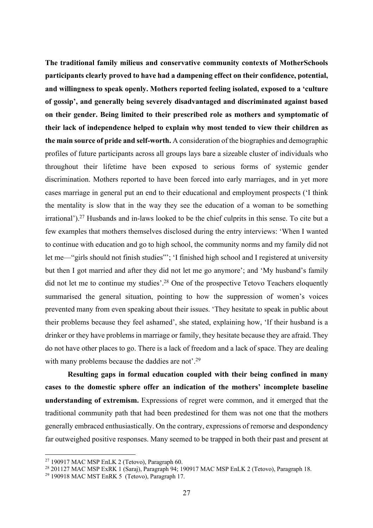**The traditional family milieus and conservative community contexts of MotherSchools participants clearly proved to have had a dampening effect on their confidence, potential, and willingness to speak openly. Mothers reported feeling isolated, exposed to a 'culture of gossip', and generally being severely disadvantaged and discriminated against based on their gender. Being limited to their prescribed role as mothers and symptomatic of their lack of independence helped to explain why most tended to view their children as the main source of pride and self-worth.** A consideration of the biographies and demographic profiles of future participants across all groups lays bare a sizeable cluster of individuals who throughout their lifetime have been exposed to serious forms of systemic gender discrimination. Mothers reported to have been forced into early marriages, and in yet more cases marriage in general put an end to their educational and employment prospects ('I think the mentality is slow that in the way they see the education of a woman to be something irrational').27 Husbands and in-laws looked to be the chief culprits in this sense. To cite but a few examples that mothers themselves disclosed during the entry interviews: 'When I wanted to continue with education and go to high school, the community norms and my family did not let me—"girls should not finish studies"'; 'I finished high school and I registered at university but then I got married and after they did not let me go anymore'; and 'My husband's family did not let me to continue my studies'.<sup>28</sup> One of the prospective Tetovo Teachers eloquently summarised the general situation, pointing to how the suppression of women's voices prevented many from even speaking about their issues. 'They hesitate to speak in public about their problems because they feel ashamed', she stated, explaining how, 'If their husband is a drinker or they have problems in marriage or family, they hesitate because they are afraid. They do not have other places to go. There is a lack of freedom and a lack of space. They are dealing with many problems because the daddies are not'.<sup>29</sup>

**Resulting gaps in formal education coupled with their being confined in many cases to the domestic sphere offer an indication of the mothers' incomplete baseline understanding of extremism.** Expressions of regret were common, and it emerged that the traditional community path that had been predestined for them was not one that the mothers generally embraced enthusiastically. On the contrary, expressions of remorse and despondency far outweighed positive responses. Many seemed to be trapped in both their past and present at

 $27$  190917 MAC MSP EnLK 2 (Tetovo), Paragraph 60.

<sup>&</sup>lt;sup>28</sup> 201127 MAC MSP ExRK 1 (Saraj), Paragraph 94; 190917 MAC MSP EnLK 2 (Tetovo), Paragraph 18.

<sup>29</sup> 190918 MAC MST EnRK 5 (Tetovo), Paragraph 17.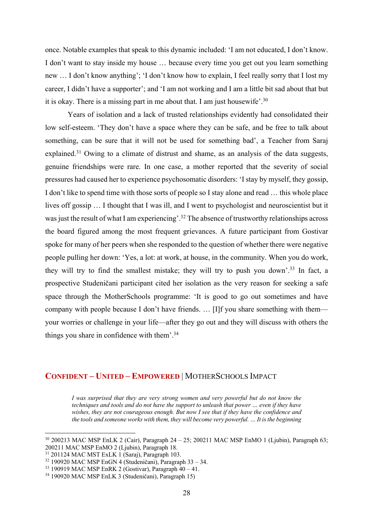once. Notable examples that speak to this dynamic included: 'I am not educated, I don't know. I don't want to stay inside my house … because every time you get out you learn something new … I don't know anything'; 'I don't know how to explain, I feel really sorry that I lost my career, I didn't have a supporter'; and 'I am not working and I am a little bit sad about that but it is okay. There is a missing part in me about that. I am just housewife'.30

Years of isolation and a lack of trusted relationships evidently had consolidated their low self-esteem. 'They don't have a space where they can be safe, and be free to talk about something, can be sure that it will not be used for something bad', a Teacher from Saraj explained.<sup>31</sup> Owing to a climate of distrust and shame, as an analysis of the data suggests, genuine friendships were rare. In one case, a mother reported that the severity of social pressures had caused her to experience psychosomatic disorders: 'I stay by myself, they gossip, I don't like to spend time with those sorts of people so I stay alone and read … this whole place lives off gossip … I thought that I was ill, and I went to psychologist and neuroscientist but it was just the result of what I am experiencing'.<sup>32</sup> The absence of trustworthy relationships across the board figured among the most frequent grievances. A future participant from Gostivar spoke for many of her peers when she responded to the question of whether there were negative people pulling her down: 'Yes, a lot: at work, at house, in the community. When you do work, they will try to find the smallest mistake; they will try to push you down'.33 In fact, a prospective Studeničani participant cited her isolation as the very reason for seeking a safe space through the MotherSchools programme: 'It is good to go out sometimes and have company with people because I don't have friends. … [I]f you share something with them your worries or challenge in your life—after they go out and they will discuss with others the things you share in confidence with them'.34

#### **CONFIDENT – UNITED – EMPOWERED** | MOTHERSCHOOLS IMPACT

*I was surprised that they are very strong women and very powerful but do not know the techniques and tools and do not have the support to unleash that power … even if they have wishes, they are not courageous enough. But now I see that if they have the confidence and the tools and someone works with them, they will become very powerful. … It is the beginning* 

 $30\,200213$  MAC MSP EnLK 2 (Cair), Paragraph  $24 - 25$ ; 200211 MAC MSP EnMO 1 (Ljubin), Paragraph 63; 200211 MAC MSP EnMO 2 (Ljubin), Paragraph 18.

<sup>31</sup> 201124 MAC MST ExLK 1 (Saraj), Paragraph 103.

 $32$  190920 MAC MSP EnGN 4 (Studeničani), Paragraph 33 – 34.

 $33$  190919 MAC MSP EnRK 2 (Gostivar), Paragraph  $40 - 41$ .

<sup>34</sup> 190920 MAC MSP EnLK 3 (Studeničani), Paragraph 15)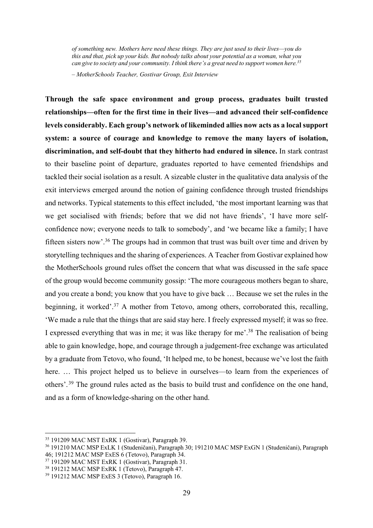*of something new. Mothers here need these things. They are just used to their lives—you do this and that, pick up your kids. But nobody talks about your potential as a woman, what you can give to society and your community. I think there's a great need to support women here.35*

*– MotherSchools Teacher, Gostivar Group, Exit Interview*

**Through the safe space environment and group process, graduates built trusted relationships—often for the first time in their lives—and advanced their self-confidence levels considerably. Each group's network of likeminded allies now acts as a local support system: a source of courage and knowledge to remove the many layers of isolation, discrimination, and self-doubt that they hitherto had endured in silence.** In stark contrast to their baseline point of departure, graduates reported to have cemented friendships and tackled their social isolation as a result. A sizeable cluster in the qualitative data analysis of the exit interviews emerged around the notion of gaining confidence through trusted friendships and networks. Typical statements to this effect included, 'the most important learning was that we get socialised with friends; before that we did not have friends', 'I have more selfconfidence now; everyone needs to talk to somebody', and 'we became like a family; I have fifteen sisters now'.36 The groups had in common that trust was built over time and driven by storytelling techniques and the sharing of experiences. A Teacher from Gostivar explained how the MotherSchools ground rules offset the concern that what was discussed in the safe space of the group would become community gossip: 'The more courageous mothers began to share, and you create a bond; you know that you have to give back … Because we set the rules in the beginning, it worked'.<sup>37</sup> A mother from Tetovo, among others, corroborated this, recalling, 'We made a rule that the things that are said stay here. I freely expressed myself; it was so free. I expressed everything that was in me; it was like therapy for me'.38 The realisation of being able to gain knowledge, hope, and courage through a judgement-free exchange was articulated by a graduate from Tetovo, who found, 'It helped me, to be honest, because we've lost the faith here. ... This project helped us to believe in ourselves—to learn from the experiences of others'. 39 The ground rules acted as the basis to build trust and confidence on the one hand, and as a form of knowledge-sharing on the other hand.

<sup>35</sup> 191209 MAC MST ExRK 1 (Gostivar), Paragraph 39.

<sup>36</sup> 191210 MAC MSP ExLK 1 (Studeničani), Paragraph 30; 191210 MAC MSP ExGN 1 (Studeničani), Paragraph 46; 191212 MAC MSP ExES 6 (Tetovo), Paragraph 34.

<sup>&</sup>lt;sup>37</sup> 191209 MAC MST ExRK 1 (Gostivar), Paragraph 31.

<sup>38</sup> 191212 MAC MSP ExRK 1 (Tetovo), Paragraph 47.

<sup>39</sup> 191212 MAC MSP ExES 3 (Tetovo), Paragraph 16.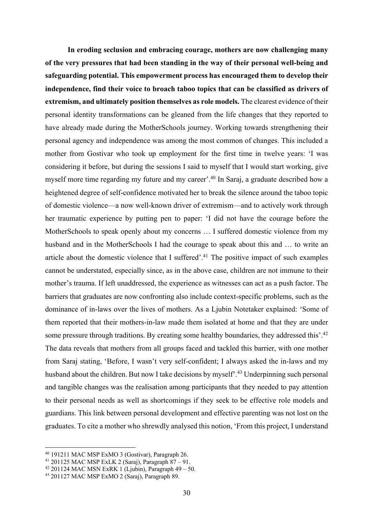**In eroding seclusion and embracing courage, mothers are now challenging many of the very pressures that had been standing in the way of their personal well-being and safeguarding potential. This empowerment process has encouraged them to develop their independence, find their voice to broach taboo topics that can be classified as drivers of extremism, and ultimately position themselves as role models.** The clearest evidence of their personal identity transformations can be gleaned from the life changes that they reported to have already made during the MotherSchools journey. Working towards strengthening their personal agency and independence was among the most common of changes. This included a mother from Gostivar who took up employment for the first time in twelve years: 'I was considering it before, but during the sessions I said to myself that I would start working, give myself more time regarding my future and my career'.40 In Saraj, a graduate described how a heightened degree of self-confidence motivated her to break the silence around the taboo topic of domestic violence—a now well-known driver of extremism—and to actively work through her traumatic experience by putting pen to paper: 'I did not have the courage before the MotherSchools to speak openly about my concerns … I suffered domestic violence from my husband and in the MotherSchools I had the courage to speak about this and … to write an article about the domestic violence that I suffered'.<sup>41</sup> The positive impact of such examples cannot be understated, especially since, as in the above case, children are not immune to their mother's trauma. If left unaddressed, the experience as witnesses can act as a push factor. The barriers that graduates are now confronting also include context-specific problems, such as the dominance of in-laws over the lives of mothers. As a Ljubin Notetaker explained: 'Some of them reported that their mothers-in-law made them isolated at home and that they are under some pressure through traditions. By creating some healthy boundaries, they addressed this'.<sup>42</sup> The data reveals that mothers from all groups faced and tackled this barrier, with one mother from Saraj stating, 'Before, I wasn't very self-confident; I always asked the in-laws and my husband about the children. But now I take decisions by myself<sup>2,43</sup> Underpinning such personal and tangible changes was the realisation among participants that they needed to pay attention to their personal needs as well as shortcomings if they seek to be effective role models and guardians. This link between personal development and effective parenting was not lost on the graduates. To cite a mother who shrewdly analysed this notion, 'From this project, I understand

<sup>40</sup> 191211 MAC MSP ExMO 3 (Gostivar), Paragraph 26.

<sup>41</sup> 201125 MAC MSP ExLK 2 (Saraj), Paragraph 87 – 91.

 $42$  201124 MAC MSN ExRK 1 (Ljubin), Paragraph 49 – 50.

<sup>43</sup> 201127 MAC MSP ExMO 2 (Saraj), Paragraph 89.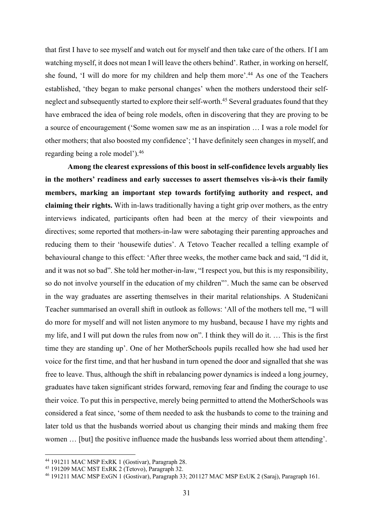that first I have to see myself and watch out for myself and then take care of the others. If I am watching myself, it does not mean I will leave the others behind'. Rather, in working on herself, she found, 'I will do more for my children and help them more'.44 As one of the Teachers established, 'they began to make personal changes' when the mothers understood their selfneglect and subsequently started to explore their self-worth.<sup>45</sup> Several graduates found that they have embraced the idea of being role models, often in discovering that they are proving to be a source of encouragement ('Some women saw me as an inspiration … I was a role model for other mothers; that also boosted my confidence'; 'I have definitely seen changes in myself, and regarding being a role model').46

**Among the clearest expressions of this boost in self-confidence levels arguably lies in the mothers' readiness and early successes to assert themselves vis-à-vis their family members, marking an important step towards fortifying authority and respect, and claiming their rights.** With in-laws traditionally having a tight grip over mothers, as the entry interviews indicated, participants often had been at the mercy of their viewpoints and directives; some reported that mothers-in-law were sabotaging their parenting approaches and reducing them to their 'housewife duties'. A Tetovo Teacher recalled a telling example of behavioural change to this effect: 'After three weeks, the mother came back and said, "I did it, and it was not so bad". She told her mother-in-law, "I respect you, but this is my responsibility, so do not involve yourself in the education of my children"'. Much the same can be observed in the way graduates are asserting themselves in their marital relationships. A Studeničani Teacher summarised an overall shift in outlook as follows: 'All of the mothers tell me, "I will do more for myself and will not listen anymore to my husband, because I have my rights and my life, and I will put down the rules from now on". I think they will do it. … This is the first time they are standing up'. One of her MotherSchools pupils recalled how she had used her voice for the first time, and that her husband in turn opened the door and signalled that she was free to leave. Thus, although the shift in rebalancing power dynamics is indeed a long journey, graduates have taken significant strides forward, removing fear and finding the courage to use their voice. To put this in perspective, merely being permitted to attend the MotherSchools was considered a feat since, 'some of them needed to ask the husbands to come to the training and later told us that the husbands worried about us changing their minds and making them free women … [but] the positive influence made the husbands less worried about them attending'.

<sup>44</sup> 191211 MAC MSP ExRK 1 (Gostivar), Paragraph 28.

<sup>45</sup> 191209 MAC MST ExRK 2 (Tetovo), Paragraph 32.

<sup>46</sup> 191211 MAC MSP ExGN 1 (Gostivar), Paragraph 33; 201127 MAC MSP ExUK 2 (Saraj), Paragraph 161.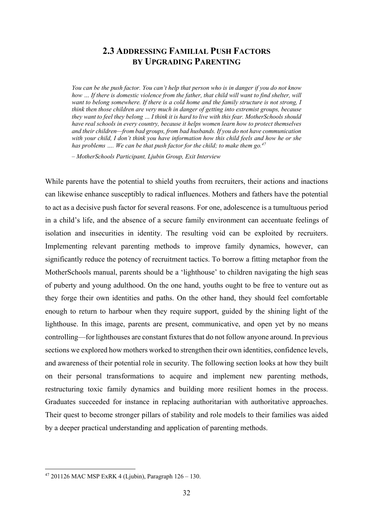### **2.3 ADDRESSING FAMILIAL PUSH FACTORS BY UPGRADING PARENTING**

*You can be the push factor. You can't help that person who is in danger if you do not know how … If there is domestic violence from the father, that child will want to find shelter, will want to belong somewhere. If there is a cold home and the family structure is not strong, I think then those children are very much in danger of getting into extremist groups, because they want to feel they belong … I think it is hard to live with this fear. MotherSchools should have real schools in every country, because it helps women learn how to protect themselves and their children—from bad groups, from bad husbands. If you do not have communication with your child, I don't think you have information how this child feels and how he or she*  has problems .... We can be that push factor for the child; to make them go.<sup>47</sup>

*– MotherSchools Participant, Ljubin Group, Exit Interview*

While parents have the potential to shield youths from recruiters, their actions and inactions can likewise enhance susceptibly to radical influences. Mothers and fathers have the potential to act as a decisive push factor for several reasons. For one, adolescence is a tumultuous period in a child's life, and the absence of a secure family environment can accentuate feelings of isolation and insecurities in identity. The resulting void can be exploited by recruiters. Implementing relevant parenting methods to improve family dynamics, however, can significantly reduce the potency of recruitment tactics. To borrow a fitting metaphor from the MotherSchools manual, parents should be a 'lighthouse' to children navigating the high seas of puberty and young adulthood. On the one hand, youths ought to be free to venture out as they forge their own identities and paths. On the other hand, they should feel comfortable enough to return to harbour when they require support, guided by the shining light of the lighthouse. In this image, parents are present, communicative, and open yet by no means controlling—for lighthouses are constant fixtures that do not follow anyone around. In previous sections we explored how mothers worked to strengthen their own identities, confidence levels, and awareness of their potential role in security. The following section looks at how they built on their personal transformations to acquire and implement new parenting methods, restructuring toxic family dynamics and building more resilient homes in the process. Graduates succeeded for instance in replacing authoritarian with authoritative approaches. Their quest to become stronger pillars of stability and role models to their families was aided by a deeper practical understanding and application of parenting methods.

<sup>47</sup> 201126 MAC MSP ExRK 4 (Ljubin), Paragraph 126 – 130.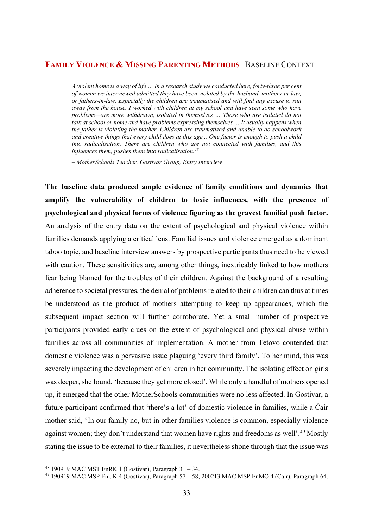#### **FAMILY VIOLENCE & MISSING PARENTING METHODS** | BASELINE CONTEXT

*A violent home is a way of life … In a research study we conducted here, forty-three per cent of women we interviewed admitted they have been violated by the husband, mothers-in-law, or fathers-in-law. Especially the children are traumatised and will find any excuse to run away from the house. I worked with children at my school and have seen some who have problems—are more withdrawn, isolated in themselves … Those who are isolated do not talk at school or home and have problems expressing themselves … It usually happens when the father is violating the mother. Children are traumatised and unable to do schoolwork and creative things that every child does at this age... One factor is enough to push a child into radicalisation. There are children who are not connected with families, and this influences them, pushes them into radicalisation.48*

*– MotherSchools Teacher, Gostivar Group, Entry Interview*

**The baseline data produced ample evidence of family conditions and dynamics that amplify the vulnerability of children to toxic influences, with the presence of psychological and physical forms of violence figuring as the gravest familial push factor.**  An analysis of the entry data on the extent of psychological and physical violence within families demands applying a critical lens. Familial issues and violence emerged as a dominant taboo topic, and baseline interview answers by prospective participants thus need to be viewed with caution. These sensitivities are, among other things, inextricably linked to how mothers fear being blamed for the troubles of their children. Against the background of a resulting adherence to societal pressures, the denial of problems related to their children can thus at times be understood as the product of mothers attempting to keep up appearances, which the subsequent impact section will further corroborate. Yet a small number of prospective participants provided early clues on the extent of psychological and physical abuse within families across all communities of implementation. A mother from Tetovo contended that domestic violence was a pervasive issue plaguing 'every third family'. To her mind, this was severely impacting the development of children in her community. The isolating effect on girls was deeper, she found, 'because they get more closed'. While only a handful of mothers opened up, it emerged that the other MotherSchools communities were no less affected. In Gostivar, a future participant confirmed that 'there's a lot' of domestic violence in families, while a Čair mother said, 'In our family no, but in other families violence is common, especially violence against women; they don't understand that women have rights and freedoms as well'.<sup>49</sup> Mostly stating the issue to be external to their families, it nevertheless shone through that the issue was

<sup>48</sup> 190919 MAC MST EnRK 1 (Gostivar), Paragraph 31 – 34.

<sup>49</sup> 190919 MAC MSP EnUK 4 (Gostivar), Paragraph 57 – 58; 200213 MAC MSP EnMO 4 (Cair), Paragraph 64.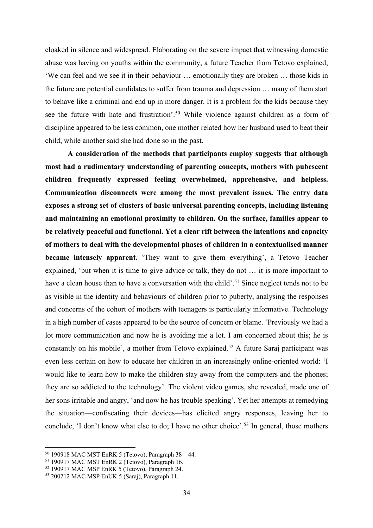cloaked in silence and widespread. Elaborating on the severe impact that witnessing domestic abuse was having on youths within the community, a future Teacher from Tetovo explained, 'We can feel and we see it in their behaviour … emotionally they are broken … those kids in the future are potential candidates to suffer from trauma and depression … many of them start to behave like a criminal and end up in more danger. It is a problem for the kids because they see the future with hate and frustration'.<sup>50</sup> While violence against children as a form of discipline appeared to be less common, one mother related how her husband used to beat their child, while another said she had done so in the past.

**A consideration of the methods that participants employ suggests that although most had a rudimentary understanding of parenting concepts, mothers with pubescent children frequently expressed feeling overwhelmed, apprehensive, and helpless. Communication disconnects were among the most prevalent issues. The entry data exposes a strong set of clusters of basic universal parenting concepts, including listening and maintaining an emotional proximity to children. On the surface, families appear to be relatively peaceful and functional. Yet a clear rift between the intentions and capacity of mothers to deal with the developmental phases of children in a contextualised manner became intensely apparent.** 'They want to give them everything', a Tetovo Teacher explained, 'but when it is time to give advice or talk, they do not … it is more important to have a clean house than to have a conversation with the child'.<sup>51</sup> Since neglect tends not to be as visible in the identity and behaviours of children prior to puberty, analysing the responses and concerns of the cohort of mothers with teenagers is particularly informative. Technology in a high number of cases appeared to be the source of concern or blame. 'Previously we had a lot more communication and now he is avoiding me a lot. I am concerned about this; he is constantly on his mobile', a mother from Tetovo explained.<sup>52</sup> A future Saraj participant was even less certain on how to educate her children in an increasingly online-oriented world: 'I would like to learn how to make the children stay away from the computers and the phones; they are so addicted to the technology'. The violent video games, she revealed, made one of her sons irritable and angry, 'and now he has trouble speaking'. Yet her attempts at remedying the situation—confiscating their devices—has elicited angry responses, leaving her to conclude, 'I don't know what else to do; I have no other choice'.<sup>53</sup> In general, those mothers

 $50$  190918 MAC MST EnRK 5 (Tetovo), Paragraph 38 – 44.

<sup>51</sup> 190917 MAC MST EnRK 2 (Tetovo), Paragraph 16.

<sup>52</sup> 190917 MAC MSP EnRK 5 (Tetovo), Paragraph 24.

<sup>53</sup> 200212 MAC MSP EnUK 5 (Saraj), Paragraph 11.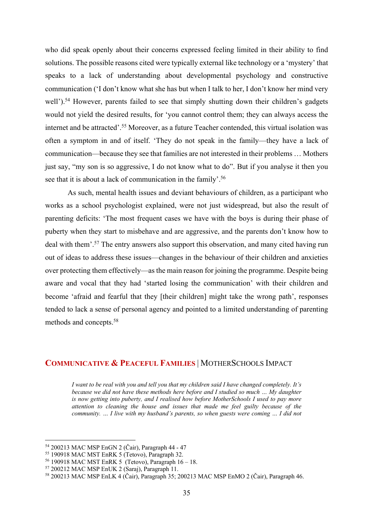who did speak openly about their concerns expressed feeling limited in their ability to find solutions. The possible reasons cited were typically external like technology or a 'mystery' that speaks to a lack of understanding about developmental psychology and constructive communication ('I don't know what she has but when I talk to her, I don't know her mind very well').<sup>54</sup> However, parents failed to see that simply shutting down their children's gadgets would not yield the desired results, for 'you cannot control them; they can always access the internet and be attracted'.55 Moreover, as a future Teacher contended, this virtual isolation was often a symptom in and of itself. 'They do not speak in the family—they have a lack of communication—because they see that families are not interested in their problems … Mothers just say, "my son is so aggressive, I do not know what to do". But if you analyse it then you see that it is about a lack of communication in the family'.<sup>56</sup>

As such, mental health issues and deviant behaviours of children, as a participant who works as a school psychologist explained, were not just widespread, but also the result of parenting deficits: 'The most frequent cases we have with the boys is during their phase of puberty when they start to misbehave and are aggressive, and the parents don't know how to deal with them'.<sup>57</sup> The entry answers also support this observation, and many cited having run out of ideas to address these issues—changes in the behaviour of their children and anxieties over protecting them effectively—as the main reason for joining the programme. Despite being aware and vocal that they had 'started losing the communication' with their children and become 'afraid and fearful that they [their children] might take the wrong path', responses tended to lack a sense of personal agency and pointed to a limited understanding of parenting methods and concepts.58

#### **COMMUNICATIVE & PEACEFUL FAMILIES** | MOTHERSCHOOLS IMPACT

*I want to be real with you and tell you that my children said I have changed completely. It's because we did not have these methods here before and I studied so much … My daughter is now getting into puberty, and I realised how before MotherSchools I used to pay more attention to cleaning the house and issues that made me feel guilty because of the community. … I live with my husband's parents, so when guests were coming … I did not* 

<sup>54</sup> 200213 MAC MSP EnGN 2 (Čair), Paragraph 44 - 47

<sup>55</sup> 190918 MAC MST EnRK 5 (Tetovo), Paragraph 32.

<sup>56</sup> 190918 MAC MST EnRK 5 (Tetovo), Paragraph 16 – 18.

<sup>57</sup> 200212 MAC MSP EnUK 2 (Saraj), Paragraph 11.

<sup>58</sup> 200213 MAC MSP EnLK 4 (Čair), Paragraph 35; 200213 MAC MSP EnMO 2 (Čair), Paragraph 46.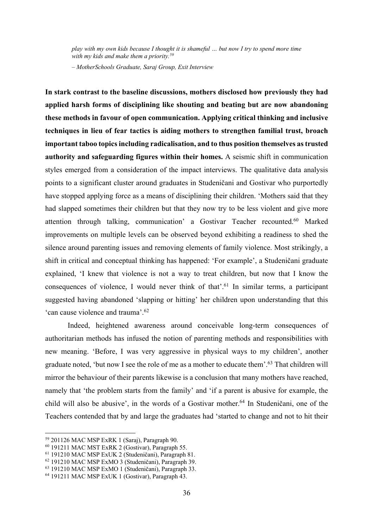*play with my own kids because I thought it is shameful … but now I try to spend more time with my kids and make them a priority.59*

*– MotherSchools Graduate, Saraj Group, Exit Interview*

**In stark contrast to the baseline discussions, mothers disclosed how previously they had applied harsh forms of disciplining like shouting and beating but are now abandoning these methods in favour of open communication. Applying critical thinking and inclusive techniques in lieu of fear tactics is aiding mothers to strengthen familial trust, broach important taboo topics including radicalisation, and to thus position themselves as trusted authority and safeguarding figures within their homes.** A seismic shift in communication styles emerged from a consideration of the impact interviews. The qualitative data analysis points to a significant cluster around graduates in Studeničani and Gostivar who purportedly have stopped applying force as a means of disciplining their children. 'Mothers said that they had slapped sometimes their children but that they now try to be less violent and give more attention through talking, communication' a Gostivar Teacher recounted.60 Marked improvements on multiple levels can be observed beyond exhibiting a readiness to shed the silence around parenting issues and removing elements of family violence. Most strikingly, a shift in critical and conceptual thinking has happened: 'For example', a Studeničani graduate explained, 'I knew that violence is not a way to treat children, but now that I know the consequences of violence, I would never think of that'.<sup>61</sup> In similar terms, a participant suggested having abandoned 'slapping or hitting' her children upon understanding that this 'can cause violence and trauma'.62

Indeed, heightened awareness around conceivable long-term consequences of authoritarian methods has infused the notion of parenting methods and responsibilities with new meaning. 'Before, I was very aggressive in physical ways to my children', another graduate noted, 'but now I see the role of me as a mother to educate them'.63 That children will mirror the behaviour of their parents likewise is a conclusion that many mothers have reached, namely that 'the problem starts from the family' and 'if a parent is abusive for example, the child will also be abusive', in the words of a Gostivar mother. <sup>64</sup> In Studeničani, one of the Teachers contended that by and large the graduates had 'started to change and not to hit their

<sup>59</sup> 201126 MAC MSP ExRK 1 (Saraj), Paragraph 90.

<sup>60</sup> 191211 MAC MST ExRK 2 (Gostivar), Paragraph 55.

<sup>61</sup> 191210 MAC MSP ExUK 2 (Studeničani), Paragraph 81.

<sup>62</sup> 191210 MAC MSP ExMO 3 (Studeničani), Paragraph 39.

<sup>63</sup> 191210 MAC MSP ExMO 1 (Studeničani), Paragraph 33.

<sup>64</sup> 191211 MAC MSP ExUK 1 (Gostivar), Paragraph 43.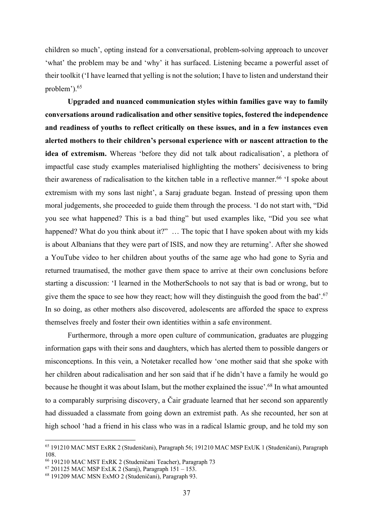children so much', opting instead for a conversational, problem-solving approach to uncover 'what' the problem may be and 'why' it has surfaced. Listening became a powerful asset of their toolkit ('I have learned that yelling is not the solution; I have to listen and understand their problem').<sup>65</sup>

**Upgraded and nuanced communication styles within families gave way to family conversations around radicalisation and other sensitive topics, fostered the independence and readiness of youths to reflect critically on these issues, and in a few instances even alerted mothers to their children's personal experience with or nascent attraction to the idea of extremism.** Whereas 'before they did not talk about radicalisation', a plethora of impactful case study examples materialised highlighting the mothers' decisiveness to bring their awareness of radicalisation to the kitchen table in a reflective manner.<sup>66</sup> 'I spoke about extremism with my sons last night', a Saraj graduate began. Instead of pressing upon them moral judgements, she proceeded to guide them through the process. 'I do not start with, "Did you see what happened? This is a bad thing" but used examples like, "Did you see what happened? What do you think about it?" ... The topic that I have spoken about with my kids is about Albanians that they were part of ISIS, and now they are returning'. After she showed a YouTube video to her children about youths of the same age who had gone to Syria and returned traumatised, the mother gave them space to arrive at their own conclusions before starting a discussion: 'I learned in the MotherSchools to not say that is bad or wrong, but to give them the space to see how they react; how will they distinguish the good from the bad'.67 In so doing, as other mothers also discovered, adolescents are afforded the space to express themselves freely and foster their own identities within a safe environment.

Furthermore, through a more open culture of communication, graduates are plugging information gaps with their sons and daughters, which has alerted them to possible dangers or misconceptions. In this vein, a Notetaker recalled how 'one mother said that she spoke with her children about radicalisation and her son said that if he didn't have a family he would go because he thought it was about Islam, but the mother explained the issue'.68 In what amounted to a comparably surprising discovery, a Čair graduate learned that her second son apparently had dissuaded a classmate from going down an extremist path. As she recounted, her son at high school 'had a friend in his class who was in a radical Islamic group, and he told my son

<sup>65</sup> 191210 MAC MST ExRK 2 (Studeničani), Paragraph 56; 191210 MAC MSP ExUK 1 (Studeničani), Paragraph 108.

<sup>66</sup> 191210 MAC MST ExRK 2 (Studeničani Teacher), Paragraph 73

<sup>67</sup> 201125 MAC MSP ExLK 2 (Saraj), Paragraph 151 – 153.

<sup>68</sup> 191209 MAC MSN ExMO 2 (Studeničani), Paragraph 93.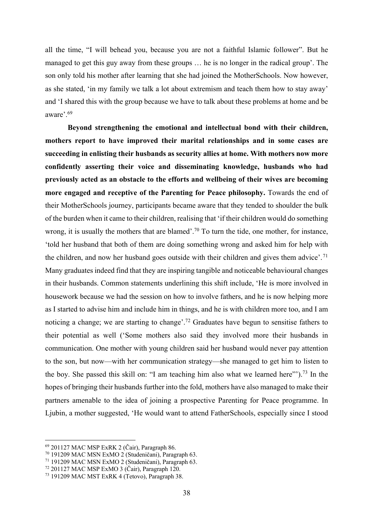all the time, "I will behead you, because you are not a faithful Islamic follower". But he managed to get this guy away from these groups … he is no longer in the radical group'. The son only told his mother after learning that she had joined the MotherSchools. Now however, as she stated, 'in my family we talk a lot about extremism and teach them how to stay away' and 'I shared this with the group because we have to talk about these problems at home and be aware'.69

**Beyond strengthening the emotional and intellectual bond with their children, mothers report to have improved their marital relationships and in some cases are succeeding in enlisting their husbands as security allies at home. With mothers now more confidently asserting their voice and disseminating knowledge, husbands who had previously acted as an obstacle to the efforts and wellbeing of their wives are becoming more engaged and receptive of the Parenting for Peace philosophy.** Towards the end of their MotherSchools journey, participants became aware that they tended to shoulder the bulk of the burden when it came to their children, realising that 'if their children would do something wrong, it is usually the mothers that are blamed'.<sup>70</sup> To turn the tide, one mother, for instance, 'told her husband that both of them are doing something wrong and asked him for help with the children, and now her husband goes outside with their children and gives them advice'. 71 Many graduates indeed find that they are inspiring tangible and noticeable behavioural changes in their husbands. Common statements underlining this shift include, 'He is more involved in housework because we had the session on how to involve fathers, and he is now helping more as I started to advise him and include him in things, and he is with children more too, and I am noticing a change; we are starting to change'.<sup>72</sup> Graduates have begun to sensitise fathers to their potential as well ('Some mothers also said they involved more their husbands in communication. One mother with young children said her husband would never pay attention to the son, but now—with her communication strategy—she managed to get him to listen to the boy. She passed this skill on: "I am teaching him also what we learned here"').73 In the hopes of bringing their husbands further into the fold, mothers have also managed to make their partners amenable to the idea of joining a prospective Parenting for Peace programme. In Ljubin, a mother suggested, 'He would want to attend FatherSchools, especially since I stood

<sup>69</sup> 201127 MAC MSP ExRK 2 (Čair), Paragraph 86.

<sup>70</sup> 191209 MAC MSN ExMO 2 (Studeničani), Paragraph 63.

<sup>71</sup> 191209 MAC MSN ExMO 2 (Studeničani), Paragraph 63.

<sup>72</sup> 201127 MAC MSP ExMO 3 (Čair), Paragraph 120.

<sup>73</sup> 191209 MAC MST ExRK 4 (Tetovo), Paragraph 38.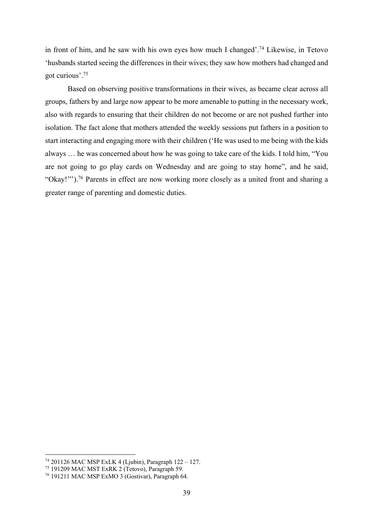in front of him, and he saw with his own eyes how much I changed'.74 Likewise, in Tetovo 'husbands started seeing the differences in their wives; they saw how mothers had changed and got curious'.75

Based on observing positive transformations in their wives, as became clear across all groups, fathers by and large now appear to be more amenable to putting in the necessary work, also with regards to ensuring that their children do not become or are not pushed further into isolation. The fact alone that mothers attended the weekly sessions put fathers in a position to start interacting and engaging more with their children ('He was used to me being with the kids always … he was concerned about how he was going to take care of the kids. I told him, "You are not going to go play cards on Wednesday and are going to stay home", and he said, "Okay! "').76 Parents in effect are now working more closely as a united front and sharing a greater range of parenting and domestic duties.

<sup>74</sup> 201126 MAC MSP ExLK 4 (Ljubin), Paragraph 122 – 127.

<sup>75</sup> 191209 MAC MST ExRK 2 (Tetovo), Paragraph 59.

<sup>76</sup> 191211 MAC MSP ExMO 3 (Gostivar), Paragraph 64.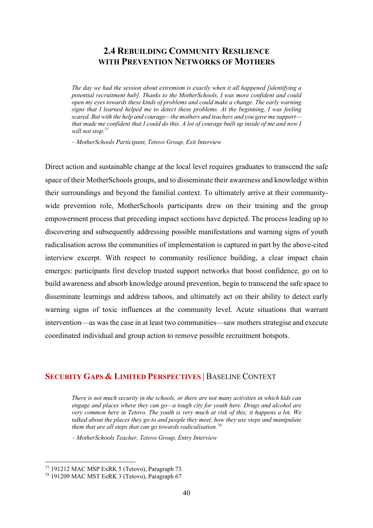### **2.4 REBUILDING COMMUNITY RESILIENCE WITH PREVENTION NETWORKS OF MOTHERS**

*The day we had the session about extremism is exactly when it all happened [identifying a potential recruitment hub]. Thanks to the MotherSchools, I was more confident and could open my eyes towards these kinds of problems and could make a change. The early warning signs that I learned helped me to detect these problems. At the beginning, I was feeling scared. But with the help and courage—the mothers and teachers and you gave me support that made me confident that I could do this. A lot of courage built up inside of me and now I will not stop.77*

*– MotherSchools Participant, Tetovo Group, Exit Interview*

Direct action and sustainable change at the local level requires graduates to transcend the safe space of their MotherSchools groups, and to disseminate their awareness and knowledge within their surroundings and beyond the familial context. To ultimately arrive at their communitywide prevention role, MotherSchools participants drew on their training and the group empowerment process that preceding impact sections have depicted. The process leading up to discovering and subsequently addressing possible manifestations and warning signs of youth radicalisation across the communities of implementation is captured in part by the above-cited interview excerpt. With respect to community resilience building, a clear impact chain emerges: participants first develop trusted support networks that boost confidence, go on to build awareness and absorb knowledge around prevention, begin to transcend the safe space to disseminate learnings and address taboos, and ultimately act on their ability to detect early warning signs of toxic influences at the community level. Acute situations that warrant intervention—as was the case in at least two communities—saw mothers strategise and execute coordinated individual and group action to remove possible recruitment hotspots.

#### **SECURITY GAPS & LIMITED PERSPECTIVES** | BASELINE CONTEXT

*There is not much security in the schools, or there are not many activities in which kids can engage and places where they can go—a tough city for youth here. Drugs and alcohol are very common here in Tetovo. The youth is very much at risk of this; it happens a lot. We talked about the places they go to and people they meet, how they use steps and manipulate them that are all steps that can go towards radicalisation.78*

*– MotherSchools Teacher, Tetovo Group, Entry Interview*

<sup>77</sup> 191212 MAC MSP ExRK 5 (Tetovo), Paragraph 73.

<sup>78</sup> 191209 MAC MST EeRK 3 (Tetovo), Paragraph 67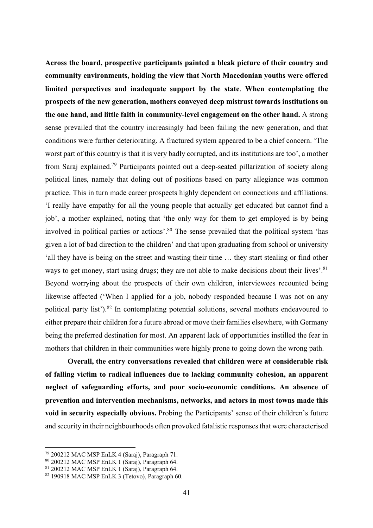**Across the board, prospective participants painted a bleak picture of their country and community environments, holding the view that North Macedonian youths were offered limited perspectives and inadequate support by the state**. **When contemplating the prospects of the new generation, mothers conveyed deep mistrust towards institutions on the one hand, and little faith in community-level engagement on the other hand.** A strong sense prevailed that the country increasingly had been failing the new generation, and that conditions were further deteriorating. A fractured system appeared to be a chief concern. 'The worst part of this country is that it is very badly corrupted, and its institutions are too', a mother from Saraj explained.79 Participants pointed out a deep-seated pillarization of society along political lines, namely that doling out of positions based on party allegiance was common practice. This in turn made career prospects highly dependent on connections and affiliations. 'I really have empathy for all the young people that actually get educated but cannot find a job', a mother explained, noting that 'the only way for them to get employed is by being involved in political parties or actions'.<sup>80</sup> The sense prevailed that the political system 'has given a lot of bad direction to the children' and that upon graduating from school or university 'all they have is being on the street and wasting their time … they start stealing or find other ways to get money, start using drugs; they are not able to make decisions about their lives'.<sup>81</sup> Beyond worrying about the prospects of their own children, interviewees recounted being likewise affected ('When I applied for a job, nobody responded because I was not on any political party list').82 In contemplating potential solutions, several mothers endeavoured to either prepare their children for a future abroad or move their families elsewhere, with Germany being the preferred destination for most. An apparent lack of opportunities instilled the fear in mothers that children in their communities were highly prone to going down the wrong path.

**Overall, the entry conversations revealed that children were at considerable risk of falling victim to radical influences due to lacking community cohesion, an apparent neglect of safeguarding efforts, and poor socio-economic conditions. An absence of prevention and intervention mechanisms, networks, and actors in most towns made this void in security especially obvious.** Probing the Participants' sense of their children's future and security in their neighbourhoods often provoked fatalistic responses that were characterised

<sup>79</sup> 200212 MAC MSP EnLK 4 (Saraj), Paragraph 71.

<sup>80</sup> 200212 MAC MSP EnLK 1 (Saraj), Paragraph 64.

<sup>81</sup> 200212 MAC MSP EnLK 1 (Saraj), Paragraph 64.

<sup>82</sup> 190918 MAC MSP EnLK 3 (Tetovo), Paragraph 60.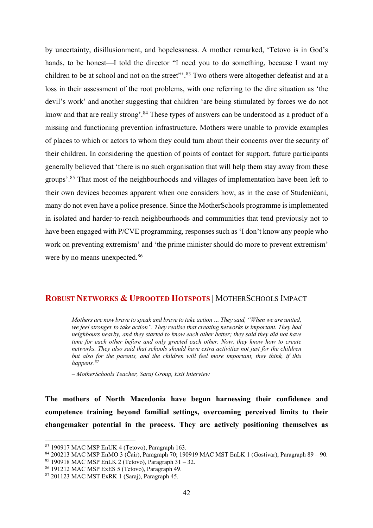by uncertainty, disillusionment, and hopelessness. A mother remarked, 'Tetovo is in God's hands, to be honest—I told the director "I need you to do something, because I want my children to be at school and not on the street".<sup>83</sup> Two others were altogether defeatist and at a loss in their assessment of the root problems, with one referring to the dire situation as 'the devil's work' and another suggesting that children 'are being stimulated by forces we do not know and that are really strong'.<sup>84</sup> These types of answers can be understood as a product of a missing and functioning prevention infrastructure. Mothers were unable to provide examples of places to which or actors to whom they could turn about their concerns over the security of their children. In considering the question of points of contact for support, future participants generally believed that 'there is no such organisation that will help them stay away from these groups'.85 That most of the neighbourhoods and villages of implementation have been left to their own devices becomes apparent when one considers how, as in the case of Studeničani, many do not even have a police presence. Since the MotherSchools programme is implemented in isolated and harder-to-reach neighbourhoods and communities that tend previously not to have been engaged with P/CVE programming, responses such as 'I don't know any people who work on preventing extremism' and 'the prime minister should do more to prevent extremism' were by no means unexpected.<sup>86</sup>

#### **ROBUST NETWORKS & UPROOTED HOTSPOTS** | MOTHERSCHOOLS IMPACT

*Mothers are now brave to speak and brave to take action … They said, "When we are united, we feel stronger to take action". They realise that creating networks is important. They had neighbours nearby, and they started to know each other better; they said they did not have time for each other before and only greeted each other. Now, they know how to create networks. They also said that schools should have extra activities not just for the children but also for the parents, and the children will feel more important, they think, if this happens.*<sup>8</sup>

*– MotherSchools Teacher, Saraj Group, Exit Interview*

**The mothers of North Macedonia have begun harnessing their confidence and competence training beyond familial settings, overcoming perceived limits to their changemaker potential in the process. They are actively positioning themselves as** 

<sup>83</sup> 190917 MAC MSP EnUK 4 (Tetovo), Paragraph 163.

<sup>84</sup> 200213 MAC MSP EnMO 3 (Čair), Paragraph 70; 190919 MAC MST EnLK 1 (Gostivar), Paragraph 89 – 90.

 $85$  190918 MAC MSP EnLK 2 (Tetovo), Paragraph 31 – 32.

<sup>86</sup> 191212 MAC MSP ExES 5 (Tetovo), Paragraph 49.

<sup>87</sup> 201123 MAC MST ExRK 1 (Saraj), Paragraph 45.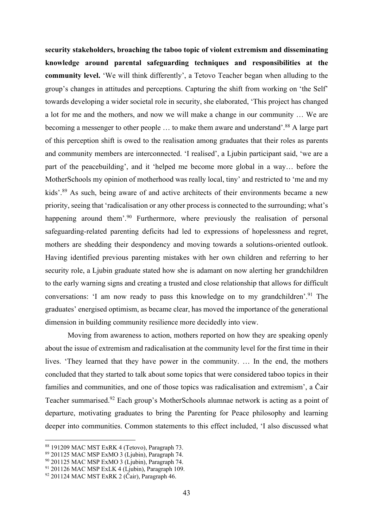**security stakeholders, broaching the taboo topic of violent extremism and disseminating knowledge around parental safeguarding techniques and responsibilities at the community level.** 'We will think differently', a Tetovo Teacher began when alluding to the group's changes in attitudes and perceptions. Capturing the shift from working on 'the Self' towards developing a wider societal role in security, she elaborated, 'This project has changed a lot for me and the mothers, and now we will make a change in our community … We are becoming a messenger to other people ... to make them aware and understand'.<sup>88</sup> A large part of this perception shift is owed to the realisation among graduates that their roles as parents and community members are interconnected. 'I realised', a Ljubin participant said, 'we are a part of the peacebuilding', and it 'helped me become more global in a way… before the MotherSchools my opinion of motherhood was really local, tiny' and restricted to 'me and my kids'.<sup>89</sup> As such, being aware of and active architects of their environments became a new priority, seeing that 'radicalisation or any other process is connected to the surrounding; what's happening around them'.<sup>90</sup> Furthermore, where previously the realisation of personal safeguarding-related parenting deficits had led to expressions of hopelessness and regret, mothers are shedding their despondency and moving towards a solutions-oriented outlook. Having identified previous parenting mistakes with her own children and referring to her security role, a Ljubin graduate stated how she is adamant on now alerting her grandchildren to the early warning signs and creating a trusted and close relationship that allows for difficult conversations: 'I am now ready to pass this knowledge on to my grandchildren'.<sup>91</sup> The graduates' energised optimism, as became clear, has moved the importance of the generational dimension in building community resilience more decidedly into view.

Moving from awareness to action, mothers reported on how they are speaking openly about the issue of extremism and radicalisation at the community level for the first time in their lives. 'They learned that they have power in the community. … In the end, the mothers concluded that they started to talk about some topics that were considered taboo topics in their families and communities, and one of those topics was radicalisation and extremism', a Čair Teacher summarised.92 Each group's MotherSchools alumnae network is acting as a point of departure, motivating graduates to bring the Parenting for Peace philosophy and learning deeper into communities. Common statements to this effect included, 'I also discussed what

<sup>88</sup> 191209 MAC MST ExRK 4 (Tetovo), Paragraph 73.

<sup>89</sup> 201125 MAC MSP ExMO 3 (Ljubin), Paragraph 74.

<sup>&</sup>lt;sup>90</sup> 201125 MAC MSP ExMO 3 (Ljubin), Paragraph 74.

 $91$  201126 MAC MSP ExLK 4 (Ljubin), Paragraph 109.

<sup>&</sup>lt;sup>92</sup> 201124 MAC MST ExRK 2 (Čair), Paragraph 46.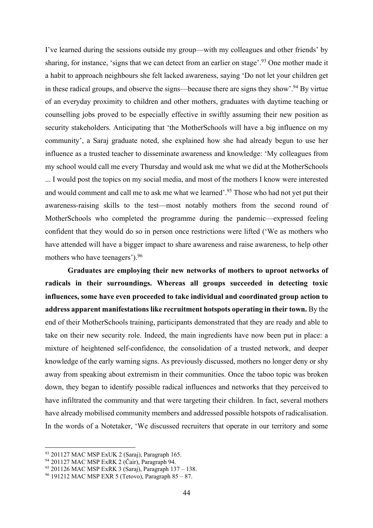I've learned during the sessions outside my group—with my colleagues and other friends' by sharing, for instance, 'signs that we can detect from an earlier on stage'.<sup>93</sup> One mother made it a habit to approach neighbours she felt lacked awareness, saying 'Do not let your children get in these radical groups, and observe the signs—because there are signs they show'.<sup>94</sup> By virtue of an everyday proximity to children and other mothers, graduates with daytime teaching or counselling jobs proved to be especially effective in swiftly assuming their new position as security stakeholders. Anticipating that 'the MotherSchools will have a big influence on my community', a Saraj graduate noted, she explained how she had already begun to use her influence as a trusted teacher to disseminate awareness and knowledge: 'My colleagues from my school would call me every Thursday and would ask me what we did at the MotherSchools ... I would post the topics on my social media, and most of the mothers I know were interested and would comment and call me to ask me what we learned'.<sup>95</sup> Those who had not yet put their awareness-raising skills to the test—most notably mothers from the second round of MotherSchools who completed the programme during the pandemic—expressed feeling confident that they would do so in person once restrictions were lifted ('We as mothers who have attended will have a bigger impact to share awareness and raise awareness, to help other mothers who have teenagers').96

**Graduates are employing their new networks of mothers to uproot networks of radicals in their surroundings. Whereas all groups succeeded in detecting toxic influences, some have even proceeded to take individual and coordinated group action to address apparent manifestations like recruitment hotspots operating in their town.** By the end of their MotherSchools training, participants demonstrated that they are ready and able to take on their new security role. Indeed, the main ingredients have now been put in place: a mixture of heightened self-confidence, the consolidation of a trusted network, and deeper knowledge of the early warning signs. As previously discussed, mothers no longer deny or shy away from speaking about extremism in their communities. Once the taboo topic was broken down, they began to identify possible radical influences and networks that they perceived to have infiltrated the community and that were targeting their children. In fact, several mothers have already mobilised community members and addressed possible hotspots of radicalisation. In the words of a Notetaker, 'We discussed recruiters that operate in our territory and some

<sup>93</sup> 201127 MAC MSP ExUK 2 (Saraj), Paragraph 165.

<sup>94</sup> 201127 MAC MSP ExRK 2 (Čair), Paragraph 94.

<sup>95</sup> 201126 MAC MSP ExRK 3 (Saraj), Paragraph 137 – 138.

<sup>96</sup> 191212 MAC MSP EXR 5 (Tetovo), Paragraph 85 – 87.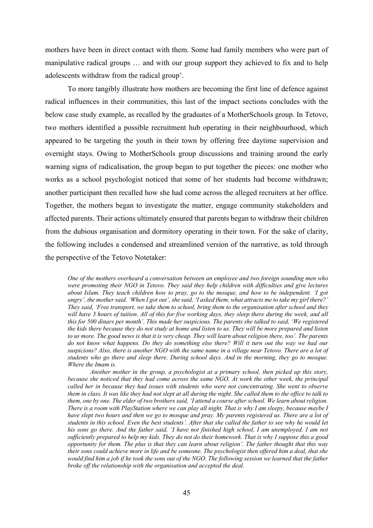mothers have been in direct contact with them. Some had family members who were part of manipulative radical groups … and with our group support they achieved to fix and to help adolescents withdraw from the radical group'.

To more tangibly illustrate how mothers are becoming the first line of defence against radical influences in their communities, this last of the impact sections concludes with the below case study example, as recalled by the graduates of a MotherSchools group. In Tetovo, two mothers identified a possible recruitment hub operating in their neighbourhood, which appeared to be targeting the youth in their town by offering free daytime supervision and overnight stays. Owing to MotherSchools group discussions and training around the early warning signs of radicalisation, the group began to put together the pieces: one mother who works as a school psychologist noticed that some of her students had become withdrawn; another participant then recalled how she had come across the alleged recruiters at her office. Together, the mothers began to investigate the matter, engage community stakeholders and affected parents. Their actions ultimately ensured that parents began to withdraw their children from the dubious organisation and dormitory operating in their town. For the sake of clarity, the following includes a condensed and streamlined version of the narrative, as told through the perspective of the Tetovo Notetaker:

*One of the mothers overheard a conversation between an employee and two foreign sounding men who were promoting their NGO in Tetovo. They said they help children with difficulties and give lectures about Islam. They teach children how to pray, go to the mosque, and how to be independent. 'I got angry', the mother said. 'When I got out', she said, 'I asked them, what attracts me to take my girl there?' They said, 'Free transport, we take them to school, bring them to the organisation after school and they will have 3 hours of tuition. All of this for five working days, they sleep there during the week, and all this for 500 dinars per month'. This made her suspicious. The parents she talked to said, 'We registered the kids there because they do not study at home and listen to us. They will be more prepared and listen to us more. The good news is that it is very cheap. They will learn about religion there, too'. The parents do not know what happens. Do they do something else there? Will it turn out the way we had our suspicions? Also, there is another NGO with the same name in a village near Tetovo. There are a lot of students who go there and sleep there. During school days. And in the morning, they go to mosque. Where the Imam is.*

*Another mother in the group, a psychologist at a primary school, then picked up this story, because she noticed that they had come across the same NGO. At work the other week, the principal called her in because they had issues with students who were not concentrating. She went to observe them in class. It was like they had not slept at all during the night. She called them to the office to talk to them, one by one. The elder of two brothers said, 'I attend a course after school. We learn about religion. There is a room with PlayStation where we can play all night. That is why I am sleepy, because maybe I have slept two hours and then we go to mosque and pray. My parents registered us. There are a lot of students in this school. Even the best students'. After that she called the father to see why he would let his sons go there. And the father said, 'I have not finished high school, I am unemployed. I am not sufficiently prepared to help my kids. They do not do their homework. That is why I suppose this a good opportunity for them. The plus is that they can learn about religion'. The father thought that this way their sons could achieve more in life and be someone. The psychologist then offered him a deal, that she would find him a job if he took the sons out of the NGO. The following session we learned that the father broke off the relationship with the organisation and accepted the deal.*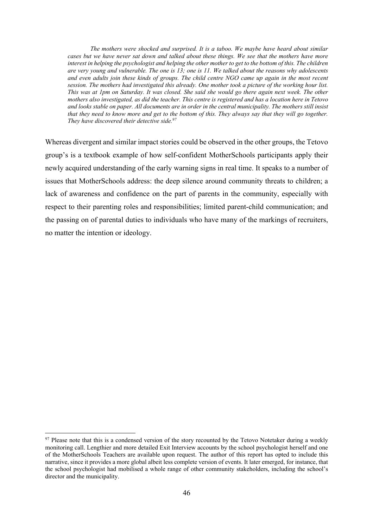*The mothers were shocked and surprised. It is a taboo. We maybe have heard about similar cases but we have never sat down and talked about these things. We see that the mothers have more interest in helping the psychologist and helping the other mother to get to the bottom of this. The children are very young and vulnerable. The one is 13; one is 11. We talked about the reasons why adolescents and even adults join these kinds of groups. The child centre NGO came up again in the most recent session. The mothers had investigated this already. One mother took a picture of the working hour list. This was at 1pm on Saturday. It was closed. She said she would go there again next week. The other mothers also investigated, as did the teacher. This centre is registered and has a location here in Tetovo and looks stable on paper. All documents are in order in the central municipality. The mothers still insist that they need to know more and get to the bottom of this. They always say that they will go together. They have discovered their detective side.97*

Whereas divergent and similar impact stories could be observed in the other groups, the Tetovo group's is a textbook example of how self-confident MotherSchools participants apply their newly acquired understanding of the early warning signs in real time. It speaks to a number of issues that MotherSchools address: the deep silence around community threats to children; a lack of awareness and confidence on the part of parents in the community, especially with respect to their parenting roles and responsibilities; limited parent-child communication; and the passing on of parental duties to individuals who have many of the markings of recruiters, no matter the intention or ideology.

<sup>&</sup>lt;sup>97</sup> Please note that this is a condensed version of the story recounted by the Tetovo Notetaker during a weekly monitoring call. Lengthier and more detailed Exit Interview accounts by the school psychologist herself and one of the MotherSchools Teachers are available upon request. The author of this report has opted to include this narrative, since it provides a more global albeit less complete version of events. It later emerged, for instance, that the school psychologist had mobilised a whole range of other community stakeholders, including the school's director and the municipality.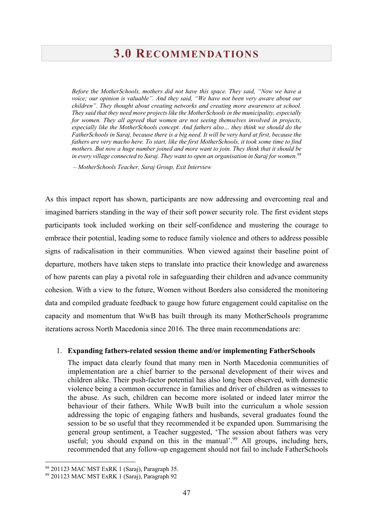### **3.0 RECOMMENDATIONS**

*Before the MotherSchools, mothers did not have this space. They said, "Now we have a voice; our opinion is valuable". And they said, "We have not been very aware about our children". They thought about creating networks and creating more awareness at school. They said that they need more projects like the MotherSchools in the municipality, especially*  for women. They all agreed that women are not seeing themselves involved in projects, *especially like the MotherSchools concept. And fathers also… they think we should do the FatherSchools in Saraj, because there is a big need. It will be very hard at first, because the fathers are very macho here. To start, like the first MotherSchools, it took some time to find mothers. But now a huge number joined and more want to join. They think that it should be in every village connected to Saraj. They want to open an organisation in Saraj for women. 98*

*– MotherSchools Teacher, Saraj Group, Exit Interview*

As this impact report has shown, participants are now addressing and overcoming real and imagined barriers standing in the way of their soft power security role. The first evident steps participants took included working on their self-confidence and mustering the courage to embrace their potential, leading some to reduce family violence and others to address possible signs of radicalisation in their communities. When viewed against their baseline point of departure, mothers have taken steps to translate into practice their knowledge and awareness of how parents can play a pivotal role in safeguarding their children and advance community cohesion. With a view to the future, Women without Borders also considered the monitoring data and compiled graduate feedback to gauge how future engagement could capitalise on the capacity and momentum that WwB has built through its many MotherSchools programme iterations across North Macedonia since 2016. The three main recommendations are:

#### 1. **Expanding fathers-related session theme and/or implementing FatherSchools**

The impact data clearly found that many men in North Macedonia communities of implementation are a chief barrier to the personal development of their wives and children alike. Their push-factor potential has also long been observed, with domestic violence being a common occurrence in families and driver of children as witnesses to the abuse. As such, children can become more isolated or indeed later mirror the behaviour of their fathers. While WwB built into the curriculum a whole session addressing the topic of engaging fathers and husbands, several graduates found the session to be so useful that they recommended it be expanded upon. Summarising the general group sentiment, a Teacher suggested, 'The session about fathers was very useful; you should expand on this in the manual'.<sup>99</sup> All groups, including hers, recommended that any follow-up engagement should not fail to include FatherSchools

<sup>98</sup> 201123 MAC MST ExRK 1 (Saraj), Paragraph 35.

<sup>99</sup> 201123 MAC MST ExRK 1 (Saraj), Paragraph 92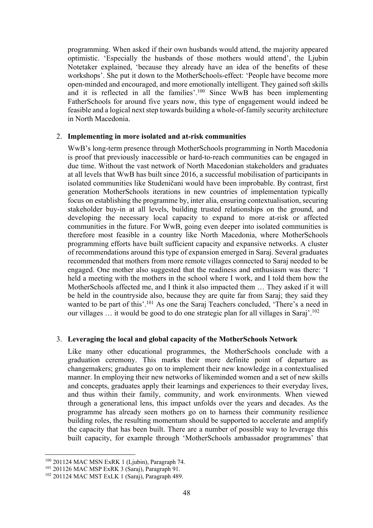programming. When asked if their own husbands would attend, the majority appeared optimistic. 'Especially the husbands of those mothers would attend', the Ljubin Notetaker explained, 'because they already have an idea of the benefits of these workshops'. She put it down to the MotherSchools-effect: 'People have become more open-minded and encouraged, and more emotionally intelligent. They gained soft skills and it is reflected in all the families'.100 Since WwB has been implementing FatherSchools for around five years now, this type of engagement would indeed be feasible and a logical next step towards building a whole-of-family security architecture in North Macedonia.

#### 2. **Implementing in more isolated and at-risk communities**

WwB's long-term presence through MotherSchools programming in North Macedonia is proof that previously inaccessible or hard-to-reach communities can be engaged in due time. Without the vast network of North Macedonian stakeholders and graduates at all levels that WwB has built since 2016, a successful mobilisation of participants in isolated communities like Studeničani would have been improbable. By contrast, first generation MotherSchools iterations in new countries of implementation typically focus on establishing the programme by, inter alia, ensuring contextualisation, securing stakeholder buy-in at all levels, building trusted relationships on the ground, and developing the necessary local capacity to expand to more at-risk or affected communities in the future. For WwB, going even deeper into isolated communities is therefore most feasible in a country like North Macedonia, where MotherSchools programming efforts have built sufficient capacity and expansive networks. A cluster of recommendations around this type of expansion emerged in Saraj. Several graduates recommended that mothers from more remote villages connected to Saraj needed to be engaged. One mother also suggested that the readiness and enthusiasm was there: 'I held a meeting with the mothers in the school where I work, and I told them how the MotherSchools affected me, and I think it also impacted them … They asked if it will be held in the countryside also, because they are quite far from Saraj; they said they wanted to be part of this'.<sup>101</sup> As one the Saraj Teachers concluded, 'There's a need in our villages … it would be good to do one strategic plan for all villages in Saraj'.102

#### 3. **Leveraging the local and global capacity of the MotherSchools Network**

Like many other educational programmes, the MotherSchools conclude with a graduation ceremony. This marks their more definite point of departure as changemakers; graduates go on to implement their new knowledge in a contextualised manner. In employing their new networks of likeminded women and a set of new skills and concepts, graduates apply their learnings and experiences to their everyday lives, and thus within their family, community, and work environments. When viewed through a generational lens, this impact unfolds over the years and decades. As the programme has already seen mothers go on to harness their community resilience building roles, the resulting momentum should be supported to accelerate and amplify the capacity that has been built. There are a number of possible way to leverage this built capacity, for example through 'MotherSchools ambassador programmes' that

 $100$  201124 MAC MSN ExRK 1 (Ljubin), Paragraph 74.

<sup>101</sup> 201126 MAC MSP ExRK 3 (Saraj), Paragraph 91.

<sup>102</sup> 201124 MAC MST ExLK 1 (Saraj), Paragraph 489.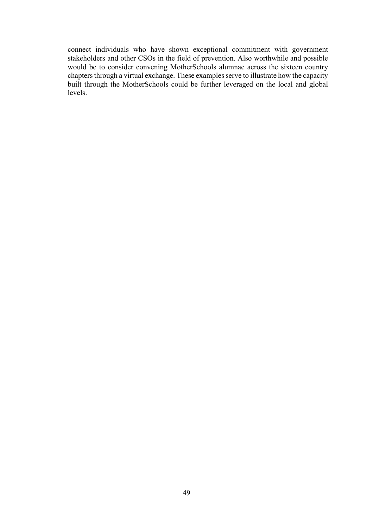connect individuals who have shown exceptional commitment with government stakeholders and other CSOs in the field of prevention. Also worthwhile and possible would be to consider convening MotherSchools alumnae across the sixteen country chapters through a virtual exchange. These examples serve to illustrate how the capacity built through the MotherSchools could be further leveraged on the local and global levels.